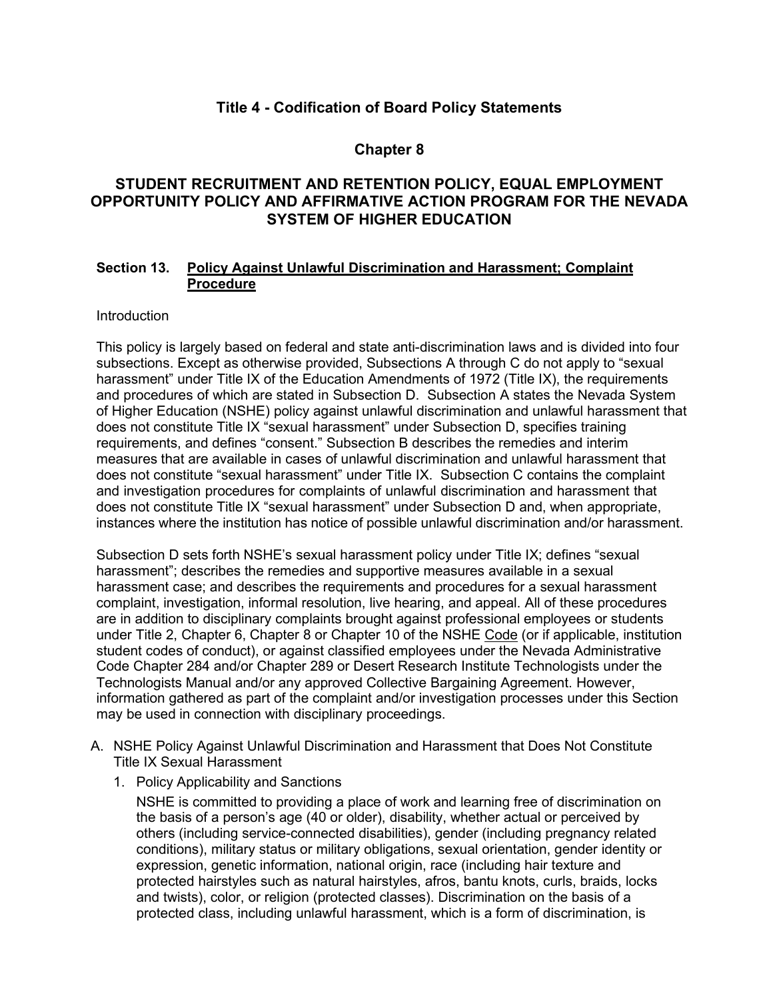# **Title 4 - Codification of Board Policy Statements**

## **Chapter 8**

# **STUDENT RECRUITMENT AND RETENTION POLICY, EQUAL EMPLOYMENT OPPORTUNITY POLICY AND AFFIRMATIVE ACTION PROGRAM FOR THE NEVADA SYSTEM OF HIGHER EDUCATION**

### **Section 13. Policy Against Unlawful Discrimination and Harassment; Complaint Procedure**

### **Introduction**

This policy is largely based on federal and state anti-discrimination laws and is divided into four subsections. Except as otherwise provided, Subsections A through C do not apply to "sexual harassment" under Title IX of the Education Amendments of 1972 (Title IX), the requirements and procedures of which are stated in Subsection D. Subsection A states the Nevada System of Higher Education (NSHE) policy against unlawful discrimination and unlawful harassment that does not constitute Title IX "sexual harassment" under Subsection D, specifies training requirements, and defines "consent." Subsection B describes the remedies and interim measures that are available in cases of unlawful discrimination and unlawful harassment that does not constitute "sexual harassment" under Title IX. Subsection C contains the complaint and investigation procedures for complaints of unlawful discrimination and harassment that does not constitute Title IX "sexual harassment" under Subsection D and, when appropriate, instances where the institution has notice of possible unlawful discrimination and/or harassment.

Subsection D sets forth NSHE's sexual harassment policy under Title IX; defines "sexual harassment"; describes the remedies and supportive measures available in a sexual harassment case; and describes the requirements and procedures for a sexual harassment complaint, investigation, informal resolution, live hearing, and appeal. All of these procedures are in addition to disciplinary complaints brought against professional employees or students under Title 2, Chapter 6, Chapter 8 or Chapter 10 of the NSHE Code (or if applicable, institution student codes of conduct), or against classified employees under the Nevada Administrative Code Chapter 284 and/or Chapter 289 or Desert Research Institute Technologists under the Technologists Manual and/or any approved Collective Bargaining Agreement. However, information gathered as part of the complaint and/or investigation processes under this Section may be used in connection with disciplinary proceedings.

- A. NSHE Policy Against Unlawful Discrimination and Harassment that Does Not Constitute Title IX Sexual Harassment
	- 1. Policy Applicability and Sanctions

NSHE is committed to providing a place of work and learning free of discrimination on the basis of a person's age (40 or older), disability, whether actual or perceived by others (including service-connected disabilities), gender (including pregnancy related conditions), military status or military obligations, sexual orientation, gender identity or expression, genetic information, national origin, race (including hair texture and protected hairstyles such as natural hairstyles, afros, bantu knots, curls, braids, locks and twists), color, or religion (protected classes). Discrimination on the basis of a protected class, including unlawful harassment, which is a form of discrimination, is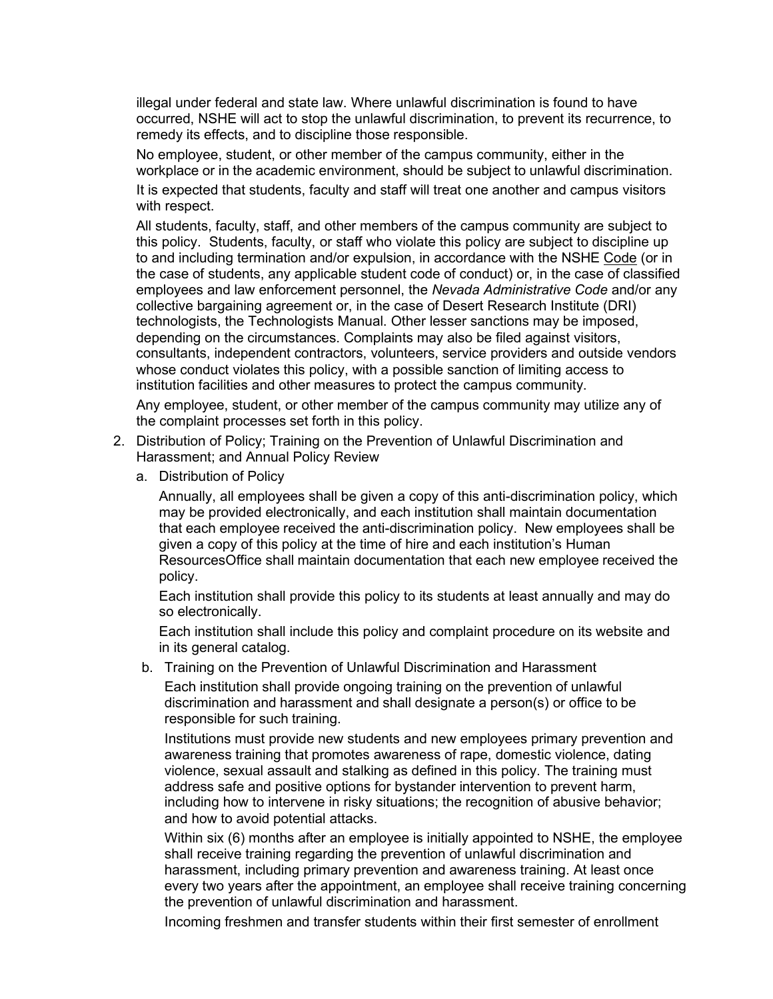illegal under federal and state law. Where unlawful discrimination is found to have occurred, NSHE will act to stop the unlawful discrimination, to prevent its recurrence, to remedy its effects, and to discipline those responsible.

No employee, student, or other member of the campus community, either in the workplace or in the academic environment, should be subject to unlawful discrimination. It is expected that students, faculty and staff will treat one another and campus visitors with respect.

All students, faculty, staff, and other members of the campus community are subject to this policy. Students, faculty, or staff who violate this policy are subject to discipline up to and including termination and/or expulsion, in accordance with the NSHE Code (or in the case of students, any applicable student code of conduct) or, in the case of classified employees and law enforcement personnel, the *Nevada Administrative Code* and/or any collective bargaining agreement or, in the case of Desert Research Institute (DRI) technologists, the Technologists Manual. Other lesser sanctions may be imposed, depending on the circumstances. Complaints may also be filed against visitors, consultants, independent contractors, volunteers, service providers and outside vendors whose conduct violates this policy, with a possible sanction of limiting access to institution facilities and other measures to protect the campus community.

Any employee, student, or other member of the campus community may utilize any of the complaint processes set forth in this policy.

- 2. Distribution of Policy; Training on the Prevention of Unlawful Discrimination and Harassment; and Annual Policy Review
	- a. Distribution of Policy

Annually, all employees shall be given a copy of this anti-discrimination policy, which may be provided electronically, and each institution shall maintain documentation that each employee received the anti-discrimination policy. New employees shall be given a copy of this policy at the time of hire and each institution's Human ResourcesOffice shall maintain documentation that each new employee received the policy.

Each institution shall provide this policy to its students at least annually and may do so electronically.

Each institution shall include this policy and complaint procedure on its website and in its general catalog.

b. Training on the Prevention of Unlawful Discrimination and Harassment

Each institution shall provide ongoing training on the prevention of unlawful discrimination and harassment and shall designate a person(s) or office to be responsible for such training.

Institutions must provide new students and new employees primary prevention and awareness training that promotes awareness of rape, domestic violence, dating violence, sexual assault and stalking as defined in this policy. The training must address safe and positive options for bystander intervention to prevent harm, including how to intervene in risky situations; the recognition of abusive behavior; and how to avoid potential attacks.

Within six (6) months after an employee is initially appointed to NSHE, the employee shall receive training regarding the prevention of unlawful discrimination and harassment, including primary prevention and awareness training. At least once every two years after the appointment, an employee shall receive training concerning the prevention of unlawful discrimination and harassment.

Incoming freshmen and transfer students within their first semester of enrollment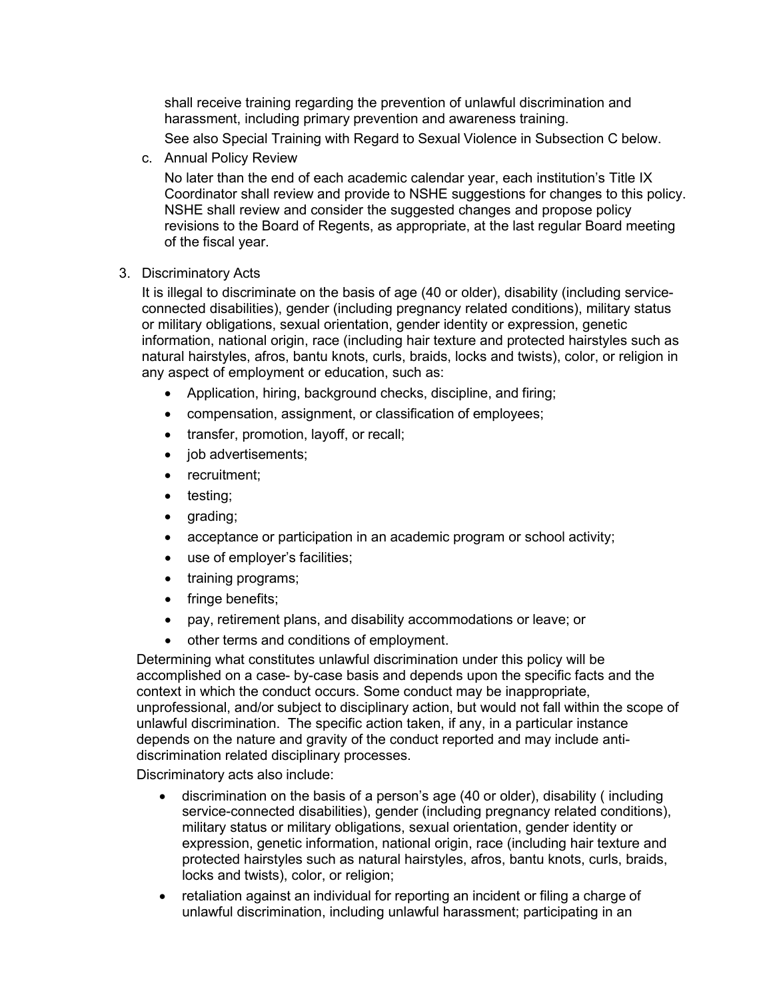shall receive training regarding the prevention of unlawful discrimination and harassment, including primary prevention and awareness training.

See also Special Training with Regard to Sexual Violence in Subsection C below.

c. Annual Policy Review

No later than the end of each academic calendar year, each institution's Title IX Coordinator shall review and provide to NSHE suggestions for changes to this policy. NSHE shall review and consider the suggested changes and propose policy revisions to the Board of Regents, as appropriate, at the last regular Board meeting of the fiscal year.

3. Discriminatory Acts

It is illegal to discriminate on the basis of age (40 or older), disability (including serviceconnected disabilities), gender (including pregnancy related conditions), military status or military obligations, sexual orientation, gender identity or expression, genetic information, national origin, race (including hair texture and protected hairstyles such as natural hairstyles, afros, bantu knots, curls, braids, locks and twists), color, or religion in any aspect of employment or education, such as:

- Application, hiring, background checks, discipline, and firing;
- compensation, assignment, or classification of employees;
- transfer, promotion, layoff, or recall;
- job advertisements;
- recruitment;
- testing;
- grading;
- acceptance or participation in an academic program or school activity;
- use of employer's facilities;
- training programs;
- fringe benefits;
- pay, retirement plans, and disability accommodations or leave; or
- other terms and conditions of employment.

Determining what constitutes unlawful discrimination under this policy will be accomplished on a case- by-case basis and depends upon the specific facts and the context in which the conduct occurs. Some conduct may be inappropriate, unprofessional, and/or subject to disciplinary action, but would not fall within the scope of unlawful discrimination. The specific action taken, if any, in a particular instance depends on the nature and gravity of the conduct reported and may include antidiscrimination related disciplinary processes.

Discriminatory acts also include:

- discrimination on the basis of a person's age (40 or older), disability ( including service-connected disabilities), gender (including pregnancy related conditions), military status or military obligations, sexual orientation, gender identity or expression, genetic information, national origin, race (including hair texture and protected hairstyles such as natural hairstyles, afros, bantu knots, curls, braids, locks and twists), color, or religion;
- retaliation against an individual for reporting an incident or filing a charge of unlawful discrimination, including unlawful harassment; participating in an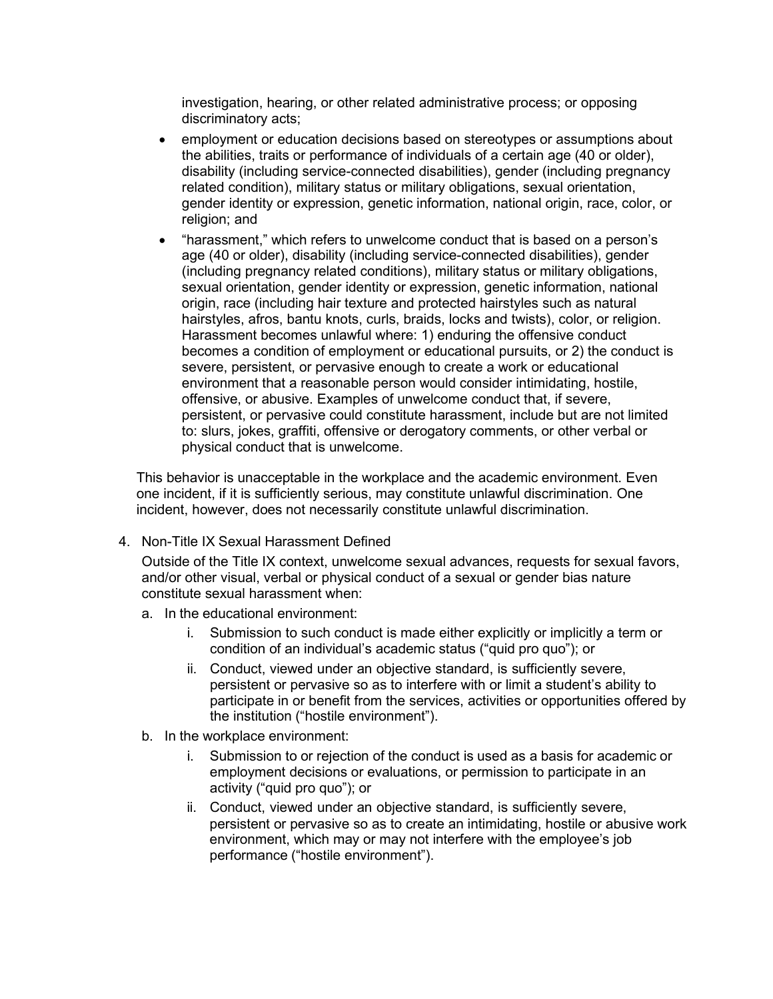investigation, hearing, or other related administrative process; or opposing discriminatory acts;

- employment or education decisions based on stereotypes or assumptions about the abilities, traits or performance of individuals of a certain age (40 or older), disability (including service-connected disabilities), gender (including pregnancy related condition), military status or military obligations, sexual orientation, gender identity or expression, genetic information, national origin, race, color, or religion; and
- "harassment," which refers to unwelcome conduct that is based on a person's age (40 or older), disability (including service-connected disabilities), gender (including pregnancy related conditions), military status or military obligations, sexual orientation, gender identity or expression, genetic information, national origin, race (including hair texture and protected hairstyles such as natural hairstyles, afros, bantu knots, curls, braids, locks and twists), color, or religion. Harassment becomes unlawful where: 1) enduring the offensive conduct becomes a condition of employment or educational pursuits, or 2) the conduct is severe, persistent, or pervasive enough to create a work or educational environment that a reasonable person would consider intimidating, hostile, offensive, or abusive. Examples of unwelcome conduct that, if severe, persistent, or pervasive could constitute harassment, include but are not limited to: slurs, jokes, graffiti, offensive or derogatory comments, or other verbal or physical conduct that is unwelcome.

This behavior is unacceptable in the workplace and the academic environment. Even one incident, if it is sufficiently serious, may constitute unlawful discrimination. One incident, however, does not necessarily constitute unlawful discrimination.

4. Non-Title IX Sexual Harassment Defined

Outside of the Title IX context, unwelcome sexual advances, requests for sexual favors, and/or other visual, verbal or physical conduct of a sexual or gender bias nature constitute sexual harassment when:

- a. In the educational environment:
	- i. Submission to such conduct is made either explicitly or implicitly a term or condition of an individual's academic status ("quid pro quo"); or
	- ii. Conduct, viewed under an objective standard, is sufficiently severe, persistent or pervasive so as to interfere with or limit a student's ability to participate in or benefit from the services, activities or opportunities offered by the institution ("hostile environment").
- b. In the workplace environment:
	- i. Submission to or rejection of the conduct is used as a basis for academic or employment decisions or evaluations, or permission to participate in an activity ("quid pro quo"); or
	- ii. Conduct, viewed under an objective standard, is sufficiently severe, persistent or pervasive so as to create an intimidating, hostile or abusive work environment, which may or may not interfere with the employee's job performance ("hostile environment").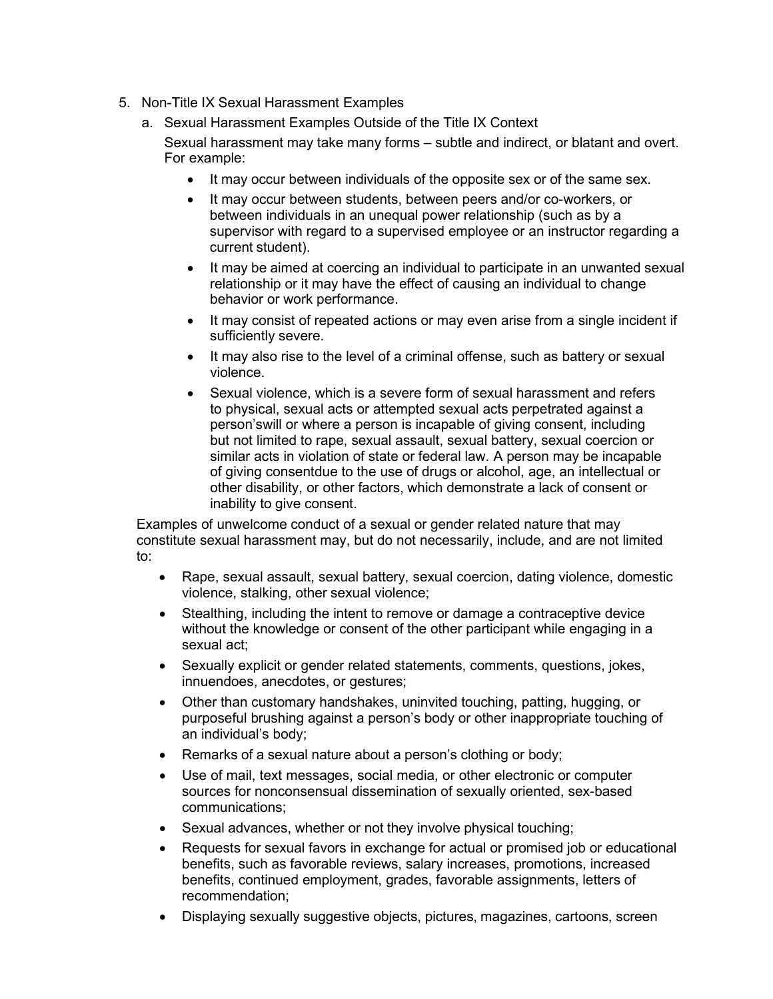- 5. Non-Title IX Sexual Harassment Examples
	- a. Sexual Harassment Examples Outside of the Title IX Context

Sexual harassment may take many forms – subtle and indirect, or blatant and overt. For example:

- It may occur between individuals of the opposite sex or of the same sex.
- It may occur between students, between peers and/or co-workers, or between individuals in an unequal power relationship (such as by a supervisor with regard to a supervised employee or an instructor regarding a current student).
- It may be aimed at coercing an individual to participate in an unwanted sexual relationship or it may have the effect of causing an individual to change behavior or work performance.
- It may consist of repeated actions or may even arise from a single incident if sufficiently severe.
- It may also rise to the level of a criminal offense, such as battery or sexual violence.
- Sexual violence, which is a severe form of sexual harassment and refers to physical, sexual acts or attempted sexual acts perpetrated against a person'swill or where a person is incapable of giving consent, including but not limited to rape, sexual assault, sexual battery, sexual coercion or similar acts in violation of state or federal law. A person may be incapable of giving consentdue to the use of drugs or alcohol, age, an intellectual or other disability, or other factors, which demonstrate a lack of consent or inability to give consent.

Examples of unwelcome conduct of a sexual or gender related nature that may constitute sexual harassment may, but do not necessarily, include, and are not limited to:

- Rape, sexual assault, sexual battery, sexual coercion, dating violence, domestic violence, stalking, other sexual violence;
- Stealthing, including the intent to remove or damage a contraceptive device without the knowledge or consent of the other participant while engaging in a sexual act;
- Sexually explicit or gender related statements, comments, questions, jokes, innuendoes, anecdotes, or gestures;
- Other than customary handshakes, uninvited touching, patting, hugging, or purposeful brushing against a person's body or other inappropriate touching of an individual's body;
- Remarks of a sexual nature about a person's clothing or body;
- Use of mail, text messages, social media, or other electronic or computer sources for nonconsensual dissemination of sexually oriented, sex-based communications;
- Sexual advances, whether or not they involve physical touching;
- Requests for sexual favors in exchange for actual or promised job or educational benefits, such as favorable reviews, salary increases, promotions, increased benefits, continued employment, grades, favorable assignments, letters of recommendation;
- Displaying sexually suggestive objects, pictures, magazines, cartoons, screen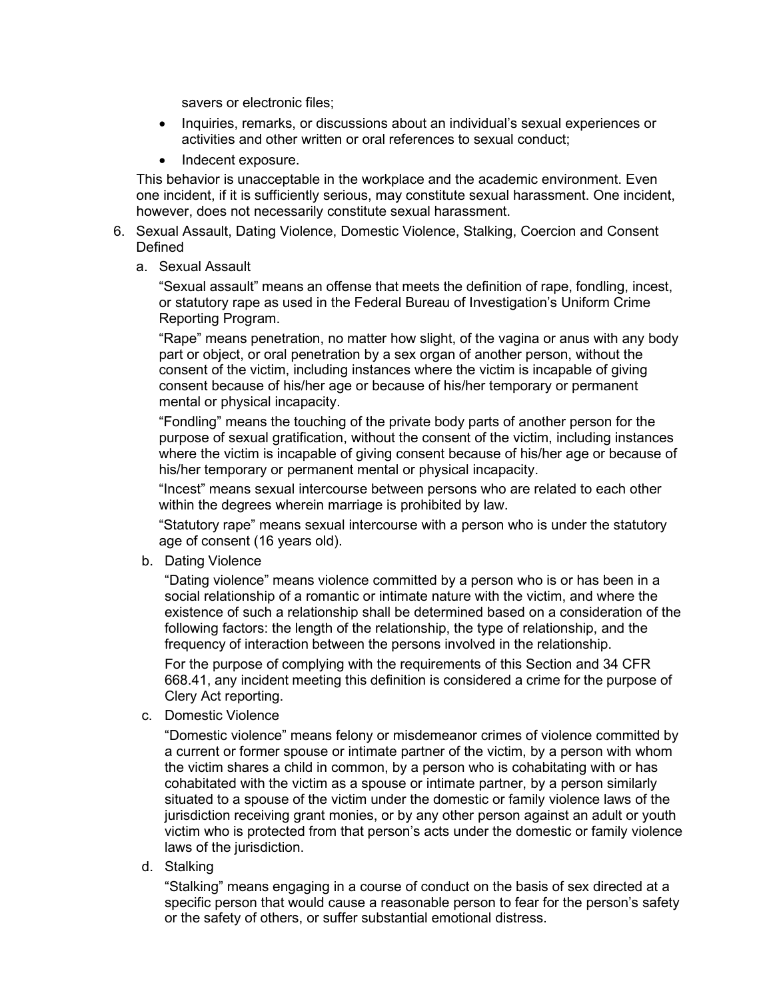savers or electronic files;

- Inquiries, remarks, or discussions about an individual's sexual experiences or activities and other written or oral references to sexual conduct;
- Indecent exposure.

This behavior is unacceptable in the workplace and the academic environment. Even one incident, if it is sufficiently serious, may constitute sexual harassment. One incident, however, does not necessarily constitute sexual harassment.

- 6. Sexual Assault, Dating Violence, Domestic Violence, Stalking, Coercion and Consent **Defined** 
	- a. Sexual Assault

"Sexual assault" means an offense that meets the definition of rape, fondling, incest, or statutory rape as used in the Federal Bureau of Investigation's Uniform Crime Reporting Program.

"Rape" means penetration, no matter how slight, of the vagina or anus with any body part or object, or oral penetration by a sex organ of another person, without the consent of the victim, including instances where the victim is incapable of giving consent because of his/her age or because of his/her temporary or permanent mental or physical incapacity.

"Fondling" means the touching of the private body parts of another person for the purpose of sexual gratification, without the consent of the victim, including instances where the victim is incapable of giving consent because of his/her age or because of his/her temporary or permanent mental or physical incapacity.

"Incest" means sexual intercourse between persons who are related to each other within the degrees wherein marriage is prohibited by law.

"Statutory rape" means sexual intercourse with a person who is under the statutory age of consent (16 years old).

b. Dating Violence

"Dating violence" means violence committed by a person who is or has been in a social relationship of a romantic or intimate nature with the victim, and where the existence of such a relationship shall be determined based on a consideration of the following factors: the length of the relationship, the type of relationship, and the frequency of interaction between the persons involved in the relationship.

For the purpose of complying with the requirements of this Section and 34 CFR 668.41, any incident meeting this definition is considered a crime for the purpose of Clery Act reporting.

c. Domestic Violence

"Domestic violence" means felony or misdemeanor crimes of violence committed by a current or former spouse or intimate partner of the victim, by a person with whom the victim shares a child in common, by a person who is cohabitating with or has cohabitated with the victim as a spouse or intimate partner, by a person similarly situated to a spouse of the victim under the domestic or family violence laws of the jurisdiction receiving grant monies, or by any other person against an adult or youth victim who is protected from that person's acts under the domestic or family violence laws of the jurisdiction.

d. Stalking

"Stalking" means engaging in a course of conduct on the basis of sex directed at a specific person that would cause a reasonable person to fear for the person's safety or the safety of others, or suffer substantial emotional distress.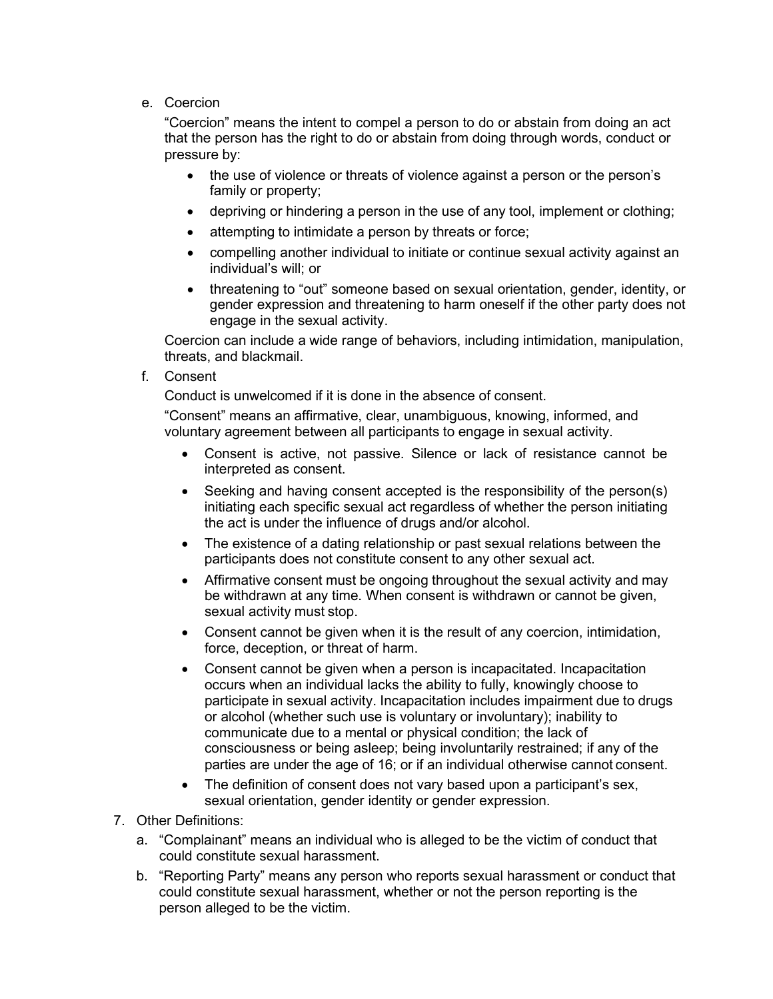e. Coercion

"Coercion" means the intent to compel a person to do or abstain from doing an act that the person has the right to do or abstain from doing through words, conduct or pressure by:

- the use of violence or threats of violence against a person or the person's family or property;
- depriving or hindering a person in the use of any tool, implement or clothing;
- attempting to intimidate a person by threats or force;
- compelling another individual to initiate or continue sexual activity against an individual's will; or
- threatening to "out" someone based on sexual orientation, gender, identity, or gender expression and threatening to harm oneself if the other party does not engage in the sexual activity.

Coercion can include a wide range of behaviors, including intimidation, manipulation, threats, and blackmail.

f. Consent

Conduct is unwelcomed if it is done in the absence of consent.

"Consent" means an affirmative, clear, unambiguous, knowing, informed, and voluntary agreement between all participants to engage in sexual activity.

- Consent is active, not passive. Silence or lack of resistance cannot be interpreted as consent.
- Seeking and having consent accepted is the responsibility of the person(s) initiating each specific sexual act regardless of whether the person initiating the act is under the influence of drugs and/or alcohol.
- The existence of a dating relationship or past sexual relations between the participants does not constitute consent to any other sexual act.
- Affirmative consent must be ongoing throughout the sexual activity and may be withdrawn at any time. When consent is withdrawn or cannot be given, sexual activity must stop.
- Consent cannot be given when it is the result of any coercion, intimidation, force, deception, or threat of harm.
- Consent cannot be given when a person is incapacitated. Incapacitation occurs when an individual lacks the ability to fully, knowingly choose to participate in sexual activity. Incapacitation includes impairment due to drugs or alcohol (whether such use is voluntary or involuntary); inability to communicate due to a mental or physical condition; the lack of consciousness or being asleep; being involuntarily restrained; if any of the parties are under the age of 16; or if an individual otherwise cannot consent.
- The definition of consent does not vary based upon a participant's sex, sexual orientation, gender identity or gender expression.
- 7. Other Definitions:
	- a. "Complainant" means an individual who is alleged to be the victim of conduct that could constitute sexual harassment.
	- b. "Reporting Party" means any person who reports sexual harassment or conduct that could constitute sexual harassment, whether or not the person reporting is the person alleged to be the victim.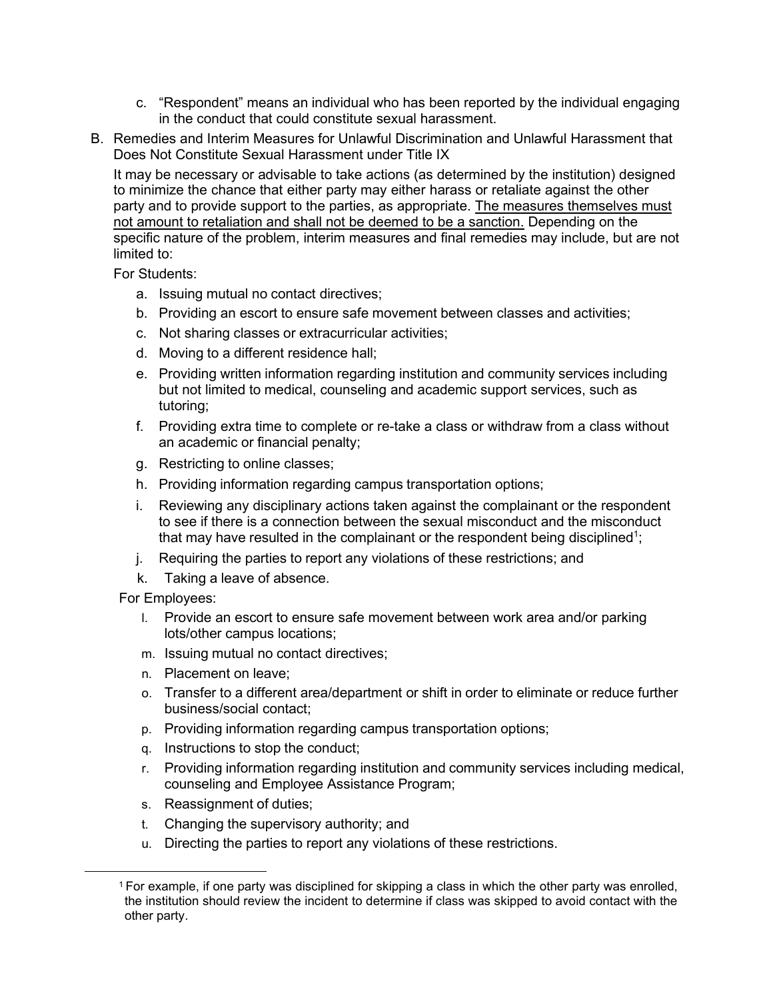- c. "Respondent" means an individual who has been reported by the individual engaging in the conduct that could constitute sexual harassment.
- B. Remedies and Interim Measures for Unlawful Discrimination and Unlawful Harassment that Does Not Constitute Sexual Harassment under Title IX

It may be necessary or advisable to take actions (as determined by the institution) designed to minimize the chance that either party may either harass or retaliate against the other party and to provide support to the parties, as appropriate. The measures themselves must not amount to retaliation and shall not be deemed to be a sanction. Depending on the specific nature of the problem, interim measures and final remedies may include, but are not limited to:

For Students:

- a. Issuing mutual no contact directives;
- b. Providing an escort to ensure safe movement between classes and activities;
- c. Not sharing classes or extracurricular activities;
- d. Moving to a different residence hall;
- e. Providing written information regarding institution and community services including but not limited to medical, counseling and academic support services, such as tutoring;
- f. Providing extra time to complete or re-take a class or withdraw from a class without an academic or financial penalty;
- g. Restricting to online classes;
- h. Providing information regarding campus transportation options;
- i. Reviewing any disciplinary actions taken against the complainant or the respondent to see if there is a connection between the sexual misconduct and the misconduct that may have resulted in the complainant or the respondent being disciplined<sup>1</sup>;
- j. Requiring the parties to report any violations of these restrictions; and
- k. Taking a leave of absence.

For Employees:

- l. Provide an escort to ensure safe movement between work area and/or parking lots/other campus locations;
- m. Issuing mutual no contact directives;
- n. Placement on leave;
- o. Transfer to a different area/department or shift in order to eliminate or reduce further business/social contact;
- p. Providing information regarding campus transportation options;
- q. Instructions to stop the conduct;
- r. Providing information regarding institution and community services including medical, counseling and Employee Assistance Program;
- s. Reassignment of duties;
- t. Changing the supervisory authority; and
- u. Directing the parties to report any violations of these restrictions.

<sup>1</sup> For example, if one party was disciplined for skipping a class in which the other party was enrolled, the institution should review the incident to determine if class was skipped to avoid contact with the other party.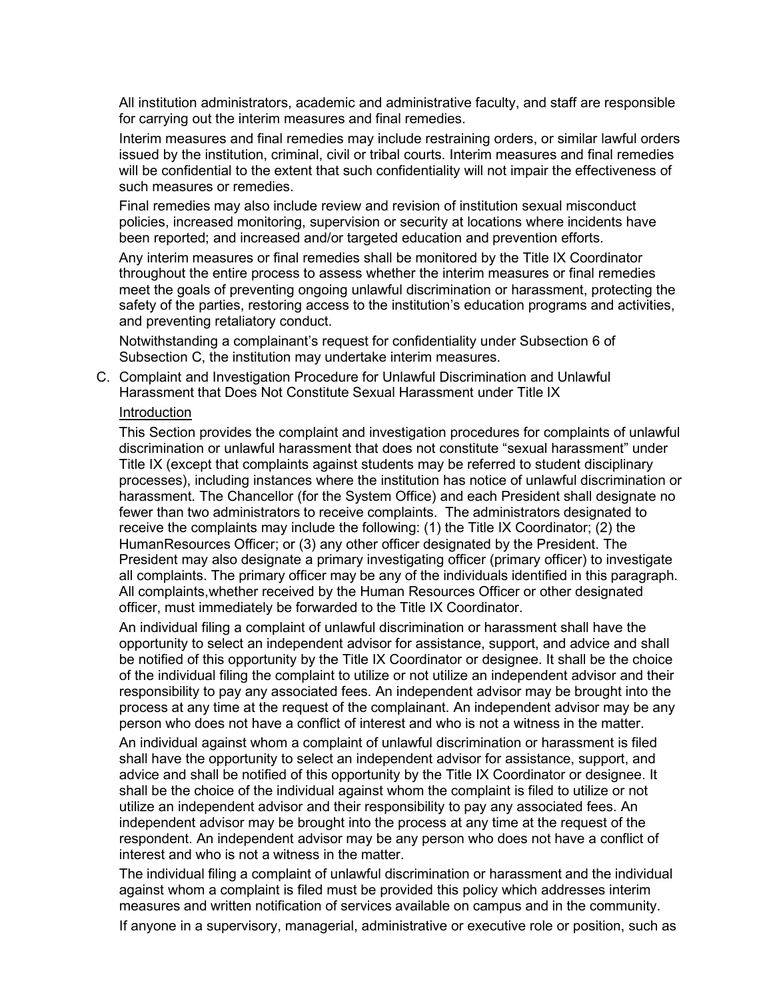All institution administrators, academic and administrative faculty, and staff are responsible for carrying out the interim measures and final remedies.

Interim measures and final remedies may include restraining orders, or similar lawful orders issued by the institution, criminal, civil or tribal courts. Interim measures and final remedies will be confidential to the extent that such confidentiality will not impair the effectiveness of such measures or remedies.

Final remedies may also include review and revision of institution sexual misconduct policies, increased monitoring, supervision or security at locations where incidents have been reported; and increased and/or targeted education and prevention efforts.

Any interim measures or final remedies shall be monitored by the Title IX Coordinator throughout the entire process to assess whether the interim measures or final remedies meet the goals of preventing ongoing unlawful discrimination or harassment, protecting the safety of the parties, restoring access to the institution's education programs and activities, and preventing retaliatory conduct.

Notwithstanding a complainant's request for confidentiality under Subsection 6 of Subsection C, the institution may undertake interim measures.

C. Complaint and Investigation Procedure for Unlawful Discrimination and Unlawful Harassment that Does Not Constitute Sexual Harassment under Title IX

## **Introduction**

This Section provides the complaint and investigation procedures for complaints of unlawful discrimination or unlawful harassment that does not constitute "sexual harassment" under Title IX (except that complaints against students may be referred to student disciplinary processes), including instances where the institution has notice of unlawful discrimination or harassment. The Chancellor (for the System Office) and each President shall designate no fewer than two administrators to receive complaints. The administrators designated to receive the complaints may include the following: (1) the Title IX Coordinator; (2) the HumanResources Officer; or (3) any other officer designated by the President. The President may also designate a primary investigating officer (primary officer) to investigate all complaints. The primary officer may be any of the individuals identified in this paragraph. All complaints,whether received by the Human Resources Officer or other designated officer, must immediately be forwarded to the Title IX Coordinator.

An individual filing a complaint of unlawful discrimination or harassment shall have the opportunity to select an independent advisor for assistance, support, and advice and shall be notified of this opportunity by the Title IX Coordinator or designee. It shall be the choice of the individual filing the complaint to utilize or not utilize an independent advisor and their responsibility to pay any associated fees. An independent advisor may be brought into the process at any time at the request of the complainant. An independent advisor may be any person who does not have a conflict of interest and who is not a witness in the matter.

An individual against whom a complaint of unlawful discrimination or harassment is filed shall have the opportunity to select an independent advisor for assistance, support, and advice and shall be notified of this opportunity by the Title IX Coordinator or designee. It shall be the choice of the individual against whom the complaint is filed to utilize or not utilize an independent advisor and their responsibility to pay any associated fees. An independent advisor may be brought into the process at any time at the request of the respondent. An independent advisor may be any person who does not have a conflict of interest and who is not a witness in the matter.

The individual filing a complaint of unlawful discrimination or harassment and the individual against whom a complaint is filed must be provided this policy which addresses interim measures and written notification of services available on campus and in the community. If anyone in a supervisory, managerial, administrative or executive role or position, such as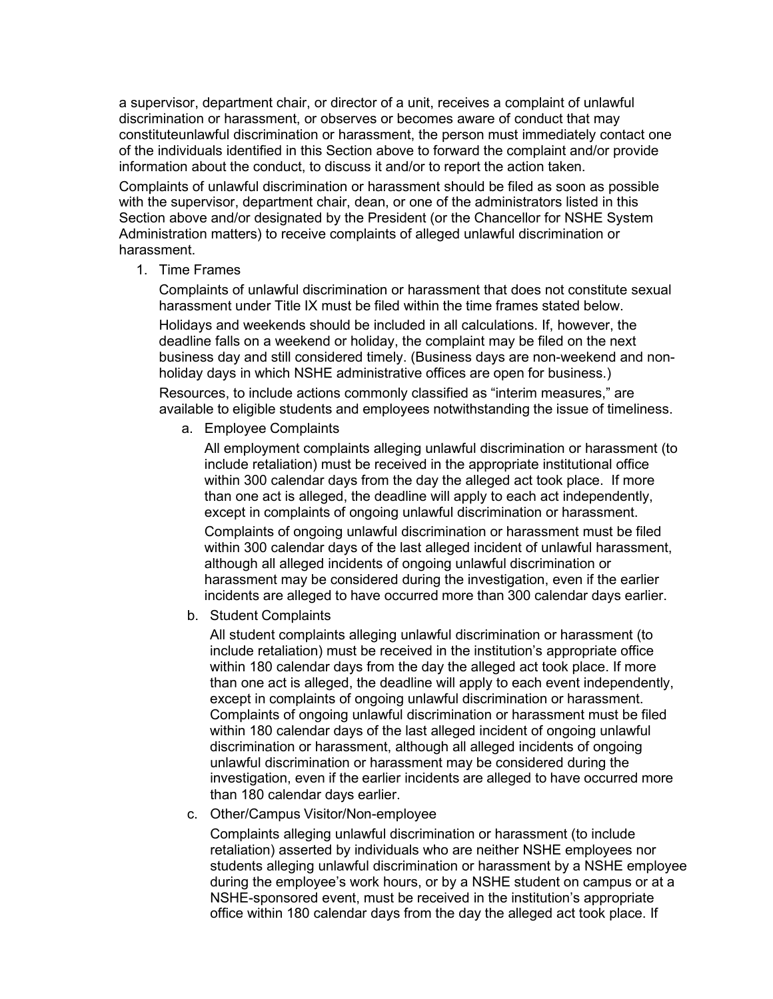a supervisor, department chair, or director of a unit, receives a complaint of unlawful discrimination or harassment, or observes or becomes aware of conduct that may constituteunlawful discrimination or harassment, the person must immediately contact one of the individuals identified in this Section above to forward the complaint and/or provide information about the conduct, to discuss it and/or to report the action taken.

Complaints of unlawful discrimination or harassment should be filed as soon as possible with the supervisor, department chair, dean, or one of the administrators listed in this Section above and/or designated by the President (or the Chancellor for NSHE System Administration matters) to receive complaints of alleged unlawful discrimination or harassment.

1. Time Frames

Complaints of unlawful discrimination or harassment that does not constitute sexual harassment under Title IX must be filed within the time frames stated below.

Holidays and weekends should be included in all calculations. If, however, the deadline falls on a weekend or holiday, the complaint may be filed on the next business day and still considered timely. (Business days are non-weekend and nonholiday days in which NSHE administrative offices are open for business.)

Resources, to include actions commonly classified as "interim measures," are available to eligible students and employees notwithstanding the issue of timeliness.

a. Employee Complaints

All employment complaints alleging unlawful discrimination or harassment (to include retaliation) must be received in the appropriate institutional office within 300 calendar days from the day the alleged act took place. If more than one act is alleged, the deadline will apply to each act independently, except in complaints of ongoing unlawful discrimination or harassment.

Complaints of ongoing unlawful discrimination or harassment must be filed within 300 calendar days of the last alleged incident of unlawful harassment, although all alleged incidents of ongoing unlawful discrimination or harassment may be considered during the investigation, even if the earlier incidents are alleged to have occurred more than 300 calendar days earlier.

b. Student Complaints

All student complaints alleging unlawful discrimination or harassment (to include retaliation) must be received in the institution's appropriate office within 180 calendar days from the day the alleged act took place. If more than one act is alleged, the deadline will apply to each event independently, except in complaints of ongoing unlawful discrimination or harassment. Complaints of ongoing unlawful discrimination or harassment must be filed within 180 calendar days of the last alleged incident of ongoing unlawful discrimination or harassment, although all alleged incidents of ongoing unlawful discrimination or harassment may be considered during the investigation, even if the earlier incidents are alleged to have occurred more than 180 calendar days earlier.

c. Other/Campus Visitor/Non-employee

Complaints alleging unlawful discrimination or harassment (to include retaliation) asserted by individuals who are neither NSHE employees nor students alleging unlawful discrimination or harassment by a NSHE employee during the employee's work hours, or by a NSHE student on campus or at a NSHE-sponsored event, must be received in the institution's appropriate office within 180 calendar days from the day the alleged act took place. If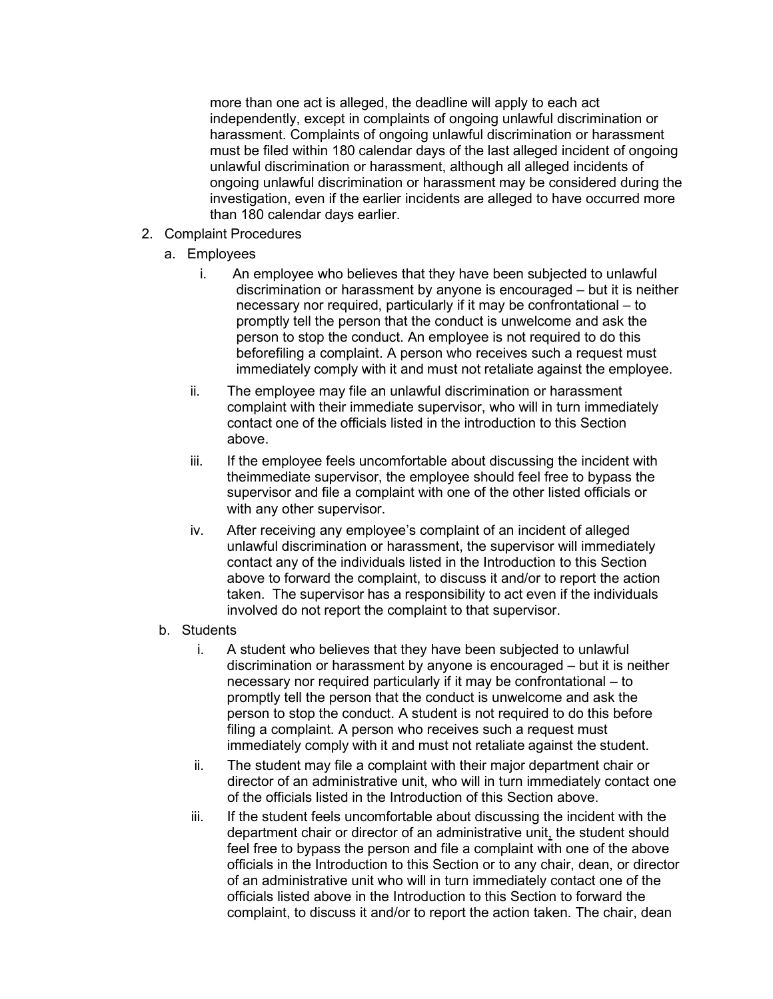more than one act is alleged, the deadline will apply to each act independently, except in complaints of ongoing unlawful discrimination or harassment. Complaints of ongoing unlawful discrimination or harassment must be filed within 180 calendar days of the last alleged incident of ongoing unlawful discrimination or harassment, although all alleged incidents of ongoing unlawful discrimination or harassment may be considered during the investigation, even if the earlier incidents are alleged to have occurred more than 180 calendar days earlier.

- 2. Complaint Procedures
	- a. Employees
		- i. An employee who believes that they have been subjected to unlawful discrimination or harassment by anyone is encouraged – but it is neither necessary nor required, particularly if it may be confrontational – to promptly tell the person that the conduct is unwelcome and ask the person to stop the conduct. An employee is not required to do this beforefiling a complaint. A person who receives such a request must immediately comply with it and must not retaliate against the employee.
		- ii. The employee may file an unlawful discrimination or harassment complaint with their immediate supervisor, who will in turn immediately contact one of the officials listed in the introduction to this Section above.
		- iii. If the employee feels uncomfortable about discussing the incident with theimmediate supervisor, the employee should feel free to bypass the supervisor and file a complaint with one of the other listed officials or with any other supervisor.
		- iv. After receiving any employee's complaint of an incident of alleged unlawful discrimination or harassment, the supervisor will immediately contact any of the individuals listed in the Introduction to this Section above to forward the complaint, to discuss it and/or to report the action taken. The supervisor has a responsibility to act even if the individuals involved do not report the complaint to that supervisor.

### b. Students

- i. A student who believes that they have been subjected to unlawful discrimination or harassment by anyone is encouraged – but it is neither necessary nor required particularly if it may be confrontational – to promptly tell the person that the conduct is unwelcome and ask the person to stop the conduct. A student is not required to do this before filing a complaint. A person who receives such a request must immediately comply with it and must not retaliate against the student.
- ii. The student may file a complaint with their major department chair or director of an administrative unit, who will in turn immediately contact one of the officials listed in the Introduction of this Section above.
- iii. If the student feels uncomfortable about discussing the incident with the department chair or director of an administrative unit, the student should feel free to bypass the person and file a complaint with one of the above officials in the Introduction to this Section or to any chair, dean, or director of an administrative unit who will in turn immediately contact one of the officials listed above in the Introduction to this Section to forward the complaint, to discuss it and/or to report the action taken. The chair, dean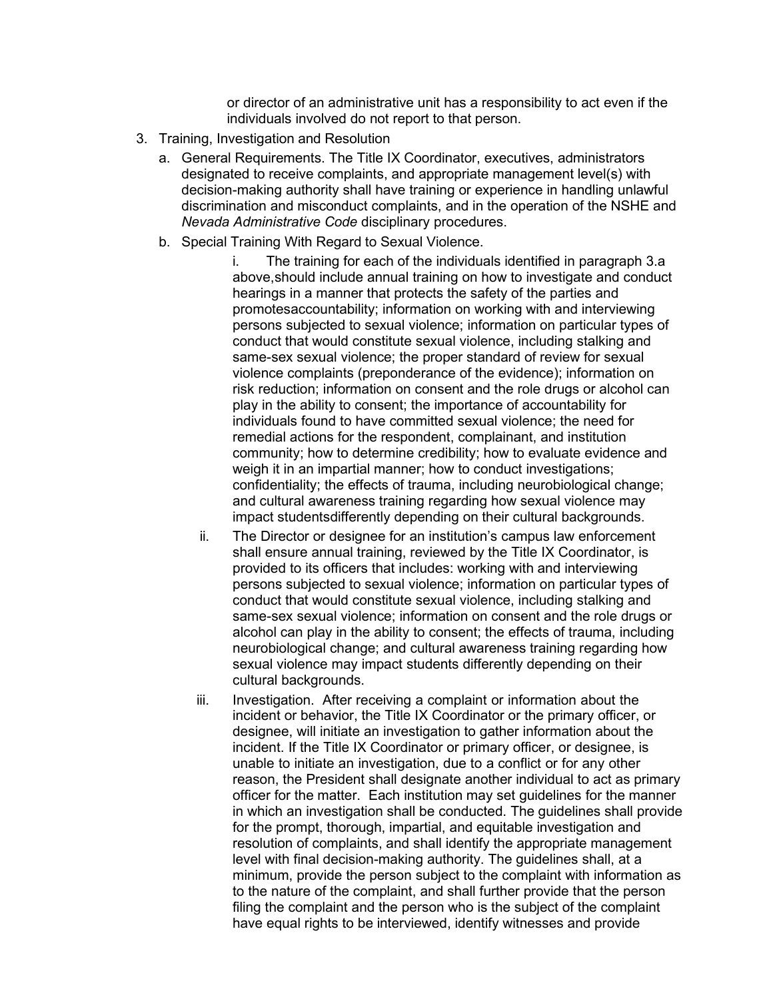or director of an administrative unit has a responsibility to act even if the individuals involved do not report to that person.

- 3. Training, Investigation and Resolution
	- a. General Requirements. The Title IX Coordinator, executives, administrators designated to receive complaints, and appropriate management level(s) with decision-making authority shall have training or experience in handling unlawful discrimination and misconduct complaints, and in the operation of the NSHE and *Nevada Administrative Code* disciplinary procedures.
	- b. Special Training With Regard to Sexual Violence.

i. The training for each of the individuals identified in paragraph 3.a above,should include annual training on how to investigate and conduct hearings in a manner that protects the safety of the parties and promotesaccountability; information on working with and interviewing persons subjected to sexual violence; information on particular types of conduct that would constitute sexual violence, including stalking and same-sex sexual violence; the proper standard of review for sexual violence complaints (preponderance of the evidence); information on risk reduction; information on consent and the role drugs or alcohol can play in the ability to consent; the importance of accountability for individuals found to have committed sexual violence; the need for remedial actions for the respondent, complainant, and institution community; how to determine credibility; how to evaluate evidence and weigh it in an impartial manner; how to conduct investigations; confidentiality; the effects of trauma, including neurobiological change; and cultural awareness training regarding how sexual violence may impact studentsdifferently depending on their cultural backgrounds.

- ii. The Director or designee for an institution's campus law enforcement shall ensure annual training, reviewed by the Title IX Coordinator, is provided to its officers that includes: working with and interviewing persons subjected to sexual violence; information on particular types of conduct that would constitute sexual violence, including stalking and same-sex sexual violence; information on consent and the role drugs or alcohol can play in the ability to consent; the effects of trauma, including neurobiological change; and cultural awareness training regarding how sexual violence may impact students differently depending on their cultural backgrounds.
- iii. Investigation. After receiving a complaint or information about the incident or behavior, the Title IX Coordinator or the primary officer, or designee, will initiate an investigation to gather information about the incident. If the Title IX Coordinator or primary officer, or designee, is unable to initiate an investigation, due to a conflict or for any other reason, the President shall designate another individual to act as primary officer for the matter. Each institution may set guidelines for the manner in which an investigation shall be conducted. The guidelines shall provide for the prompt, thorough, impartial, and equitable investigation and resolution of complaints, and shall identify the appropriate management level with final decision-making authority. The guidelines shall, at a minimum, provide the person subject to the complaint with information as to the nature of the complaint, and shall further provide that the person filing the complaint and the person who is the subject of the complaint have equal rights to be interviewed, identify witnesses and provide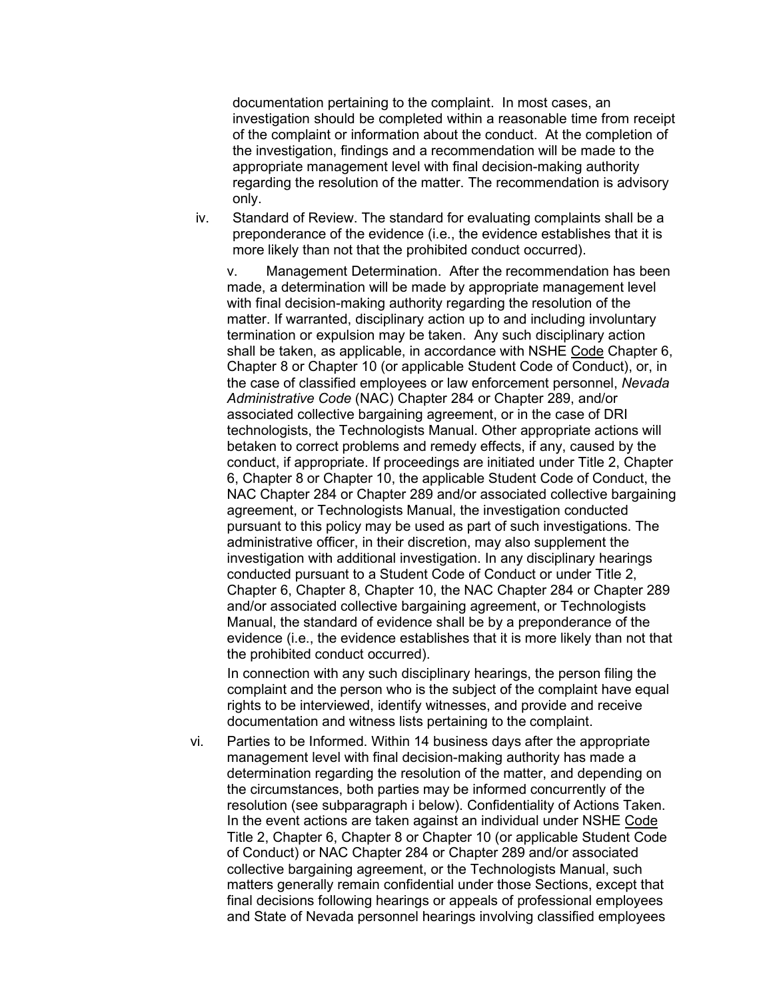documentation pertaining to the complaint. In most cases, an investigation should be completed within a reasonable time from receipt of the complaint or information about the conduct. At the completion of the investigation, findings and a recommendation will be made to the appropriate management level with final decision-making authority regarding the resolution of the matter. The recommendation is advisory only.

iv. Standard of Review. The standard for evaluating complaints shall be a preponderance of the evidence (i.e., the evidence establishes that it is more likely than not that the prohibited conduct occurred).

v. Management Determination. After the recommendation has been made, a determination will be made by appropriate management level with final decision-making authority regarding the resolution of the matter. If warranted, disciplinary action up to and including involuntary termination or expulsion may be taken. Any such disciplinary action shall be taken, as applicable, in accordance with NSHE Code Chapter 6, Chapter 8 or Chapter 10 (or applicable Student Code of Conduct), or, in the case of classified employees or law enforcement personnel, *Nevada Administrative Code* (NAC) Chapter 284 or Chapter 289, and/or associated collective bargaining agreement, or in the case of DRI technologists, the Technologists Manual. Other appropriate actions will betaken to correct problems and remedy effects, if any, caused by the conduct, if appropriate. If proceedings are initiated under Title 2, Chapter 6, Chapter 8 or Chapter 10, the applicable Student Code of Conduct, the NAC Chapter 284 or Chapter 289 and/or associated collective bargaining agreement, or Technologists Manual, the investigation conducted pursuant to this policy may be used as part of such investigations. The administrative officer, in their discretion, may also supplement the investigation with additional investigation. In any disciplinary hearings conducted pursuant to a Student Code of Conduct or under Title 2, Chapter 6, Chapter 8, Chapter 10, the NAC Chapter 284 or Chapter 289 and/or associated collective bargaining agreement, or Technologists Manual, the standard of evidence shall be by a preponderance of the evidence (i.e., the evidence establishes that it is more likely than not that the prohibited conduct occurred).

In connection with any such disciplinary hearings, the person filing the complaint and the person who is the subject of the complaint have equal rights to be interviewed, identify witnesses, and provide and receive documentation and witness lists pertaining to the complaint.

vi. Parties to be Informed. Within 14 business days after the appropriate management level with final decision-making authority has made a determination regarding the resolution of the matter, and depending on the circumstances, both parties may be informed concurrently of the resolution (see subparagraph i below). Confidentiality of Actions Taken. In the event actions are taken against an individual under NSHE Code Title 2, Chapter 6, Chapter 8 or Chapter 10 (or applicable Student Code of Conduct) or NAC Chapter 284 or Chapter 289 and/or associated collective bargaining agreement, or the Technologists Manual, such matters generally remain confidential under those Sections, except that final decisions following hearings or appeals of professional employees and State of Nevada personnel hearings involving classified employees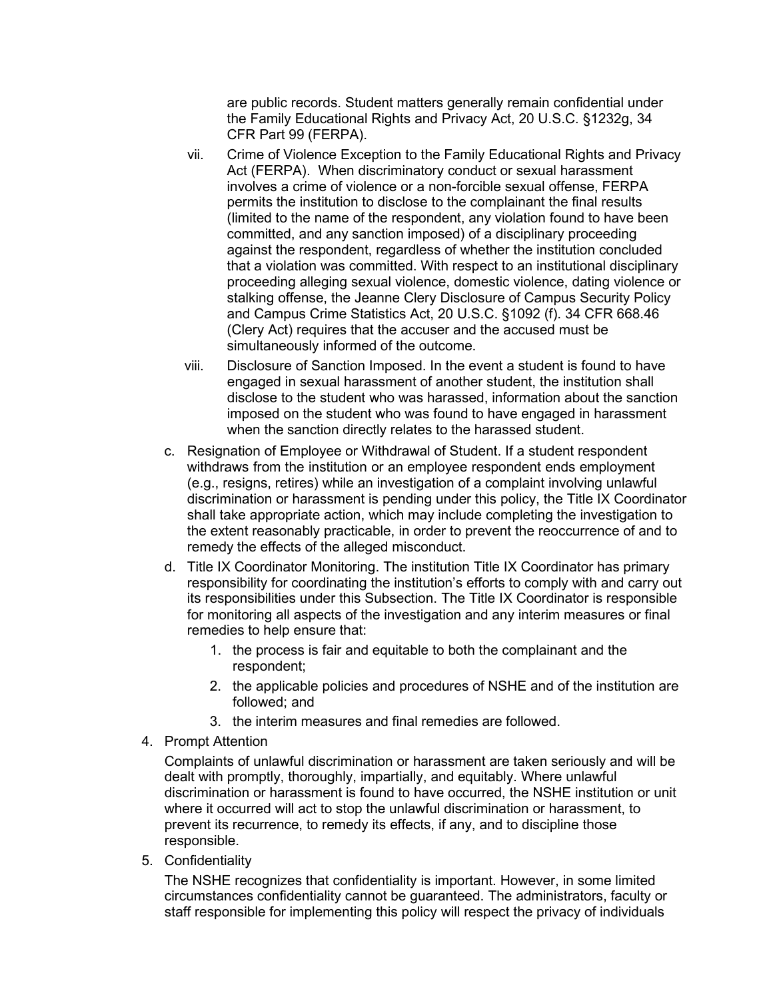are public records. Student matters generally remain confidential under the Family Educational Rights and Privacy Act, 20 U.S.C. §1232g, 34 CFR Part 99 (FERPA).

- vii. Crime of Violence Exception to the Family Educational Rights and Privacy Act (FERPA). When discriminatory conduct or sexual harassment involves a crime of violence or a non-forcible sexual offense, FERPA permits the institution to disclose to the complainant the final results (limited to the name of the respondent, any violation found to have been committed, and any sanction imposed) of a disciplinary proceeding against the respondent, regardless of whether the institution concluded that a violation was committed. With respect to an institutional disciplinary proceeding alleging sexual violence, domestic violence, dating violence or stalking offense, the Jeanne Clery Disclosure of Campus Security Policy and Campus Crime Statistics Act, 20 U.S.C. §1092 (f). 34 CFR 668.46 (Clery Act) requires that the accuser and the accused must be simultaneously informed of the outcome.
- viii. Disclosure of Sanction Imposed. In the event a student is found to have engaged in sexual harassment of another student, the institution shall disclose to the student who was harassed, information about the sanction imposed on the student who was found to have engaged in harassment when the sanction directly relates to the harassed student.
- c. Resignation of Employee or Withdrawal of Student. If a student respondent withdraws from the institution or an employee respondent ends employment (e.g., resigns, retires) while an investigation of a complaint involving unlawful discrimination or harassment is pending under this policy, the Title IX Coordinator shall take appropriate action, which may include completing the investigation to the extent reasonably practicable, in order to prevent the reoccurrence of and to remedy the effects of the alleged misconduct.
- d. Title IX Coordinator Monitoring. The institution Title IX Coordinator has primary responsibility for coordinating the institution's efforts to comply with and carry out its responsibilities under this Subsection. The Title IX Coordinator is responsible for monitoring all aspects of the investigation and any interim measures or final remedies to help ensure that:
	- 1. the process is fair and equitable to both the complainant and the respondent;
	- 2. the applicable policies and procedures of NSHE and of the institution are followed; and
	- 3. the interim measures and final remedies are followed.
- 4. Prompt Attention

Complaints of unlawful discrimination or harassment are taken seriously and will be dealt with promptly, thoroughly, impartially, and equitably. Where unlawful discrimination or harassment is found to have occurred, the NSHE institution or unit where it occurred will act to stop the unlawful discrimination or harassment, to prevent its recurrence, to remedy its effects, if any, and to discipline those responsible.

5. Confidentiality

The NSHE recognizes that confidentiality is important. However, in some limited circumstances confidentiality cannot be guaranteed. The administrators, faculty or staff responsible for implementing this policy will respect the privacy of individuals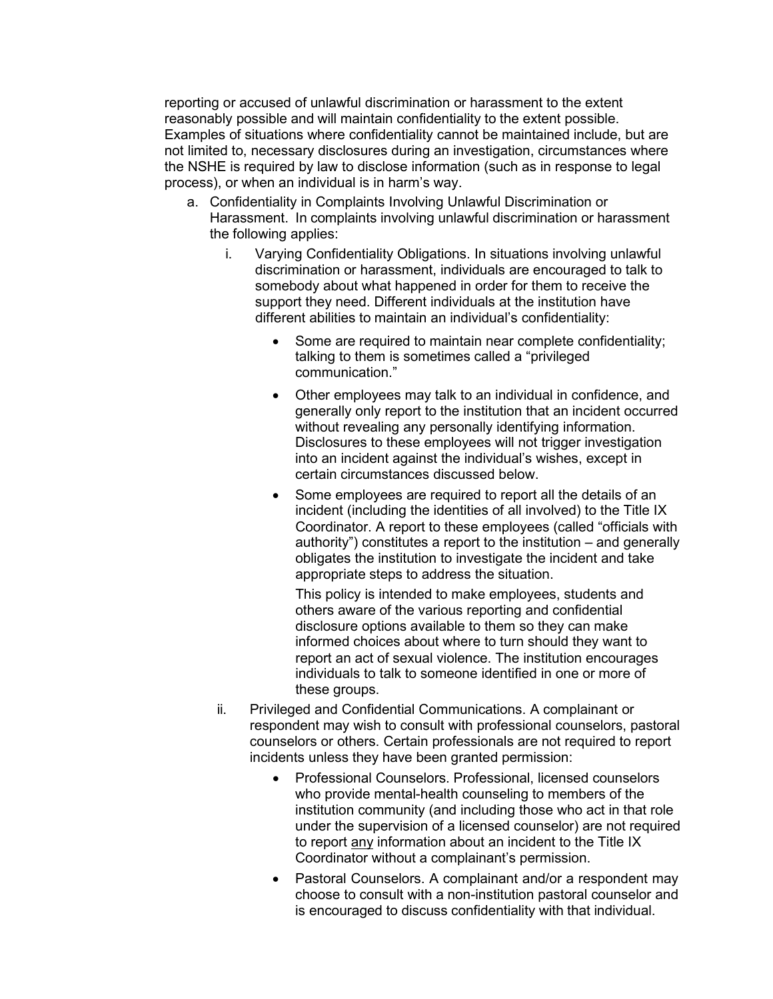reporting or accused of unlawful discrimination or harassment to the extent reasonably possible and will maintain confidentiality to the extent possible. Examples of situations where confidentiality cannot be maintained include, but are not limited to, necessary disclosures during an investigation, circumstances where the NSHE is required by law to disclose information (such as in response to legal process), or when an individual is in harm's way.

- a. Confidentiality in Complaints Involving Unlawful Discrimination or Harassment. In complaints involving unlawful discrimination or harassment the following applies:
	- i. Varying Confidentiality Obligations. In situations involving unlawful discrimination or harassment, individuals are encouraged to talk to somebody about what happened in order for them to receive the support they need. Different individuals at the institution have different abilities to maintain an individual's confidentiality:
		- Some are required to maintain near complete confidentiality; talking to them is sometimes called a "privileged communication."
		- Other employees may talk to an individual in confidence, and generally only report to the institution that an incident occurred without revealing any personally identifying information. Disclosures to these employees will not trigger investigation into an incident against the individual's wishes, except in certain circumstances discussed below.
		- Some employees are required to report all the details of an incident (including the identities of all involved) to the Title IX Coordinator. A report to these employees (called "officials with authority") constitutes a report to the institution – and generally obligates the institution to investigate the incident and take appropriate steps to address the situation.

This policy is intended to make employees, students and others aware of the various reporting and confidential disclosure options available to them so they can make informed choices about where to turn should they want to report an act of sexual violence. The institution encourages individuals to talk to someone identified in one or more of these groups.

- ii. Privileged and Confidential Communications. A complainant or respondent may wish to consult with professional counselors, pastoral counselors or others. Certain professionals are not required to report incidents unless they have been granted permission:
	- Professional Counselors. Professional, licensed counselors who provide mental-health counseling to members of the institution community (and including those who act in that role under the supervision of a licensed counselor) are not required to report any information about an incident to the Title IX Coordinator without a complainant's permission.
	- Pastoral Counselors. A complainant and/or a respondent may choose to consult with a non-institution pastoral counselor and is encouraged to discuss confidentiality with that individual.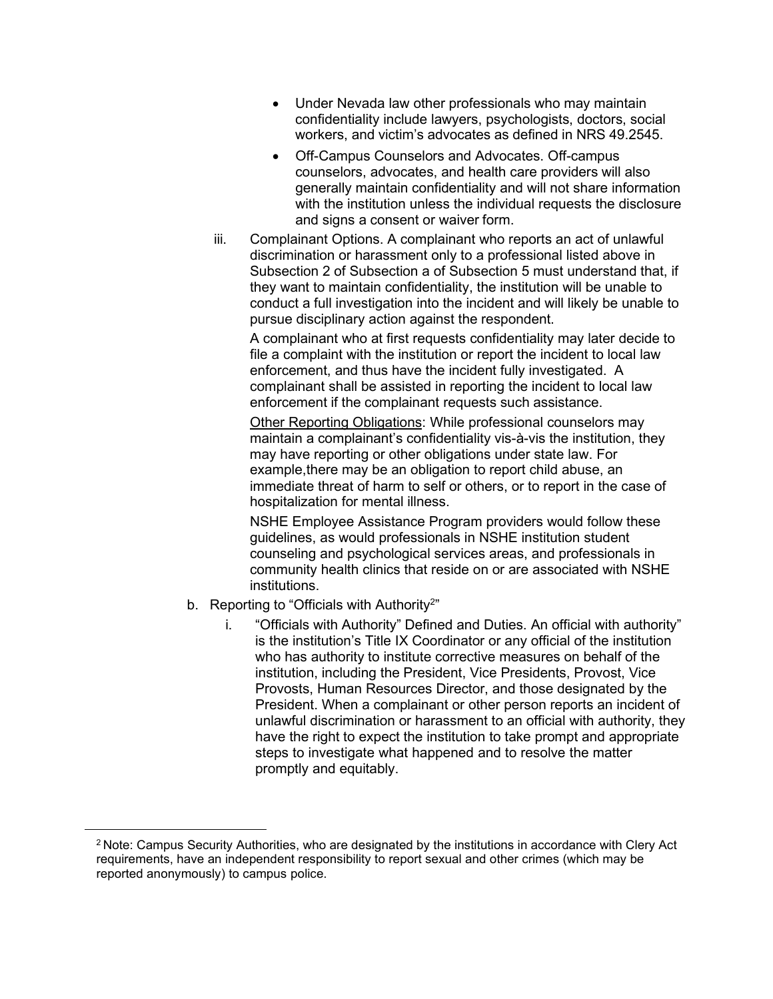- Under Nevada law other professionals who may maintain confidentiality include lawyers, psychologists, doctors, social workers, and victim's advocates as defined in NRS 49.2545.
- Off-Campus Counselors and Advocates. Off-campus counselors, advocates, and health care providers will also generally maintain confidentiality and will not share information with the institution unless the individual requests the disclosure and signs a consent or waiver form.
- iii. Complainant Options. A complainant who reports an act of unlawful discrimination or harassment only to a professional listed above in Subsection 2 of Subsection a of Subsection 5 must understand that, if they want to maintain confidentiality, the institution will be unable to conduct a full investigation into the incident and will likely be unable to pursue disciplinary action against the respondent.

A complainant who at first requests confidentiality may later decide to file a complaint with the institution or report the incident to local law enforcement, and thus have the incident fully investigated. A complainant shall be assisted in reporting the incident to local law enforcement if the complainant requests such assistance.

Other Reporting Obligations: While professional counselors may maintain a complainant's confidentiality vis-à-vis the institution, they may have reporting or other obligations under state law. For example,there may be an obligation to report child abuse, an immediate threat of harm to self or others, or to report in the case of hospitalization for mental illness.

NSHE Employee Assistance Program providers would follow these guidelines, as would professionals in NSHE institution student counseling and psychological services areas, and professionals in community health clinics that reside on or are associated with NSHE institutions.

- b. Reporting to "Officials with Authority<sup>2</sup>"
	- i. "Officials with Authority" Defined and Duties. An official with authority" is the institution's Title IX Coordinator or any official of the institution who has authority to institute corrective measures on behalf of the institution, including the President, Vice Presidents, Provost, Vice Provosts, Human Resources Director, and those designated by the President. When a complainant or other person reports an incident of unlawful discrimination or harassment to an official with authority, they have the right to expect the institution to take prompt and appropriate steps to investigate what happened and to resolve the matter promptly and equitably.

<sup>2</sup> Note: Campus Security Authorities, who are designated by the institutions in accordance with Clery Act requirements, have an independent responsibility to report sexual and other crimes (which may be reported anonymously) to campus police.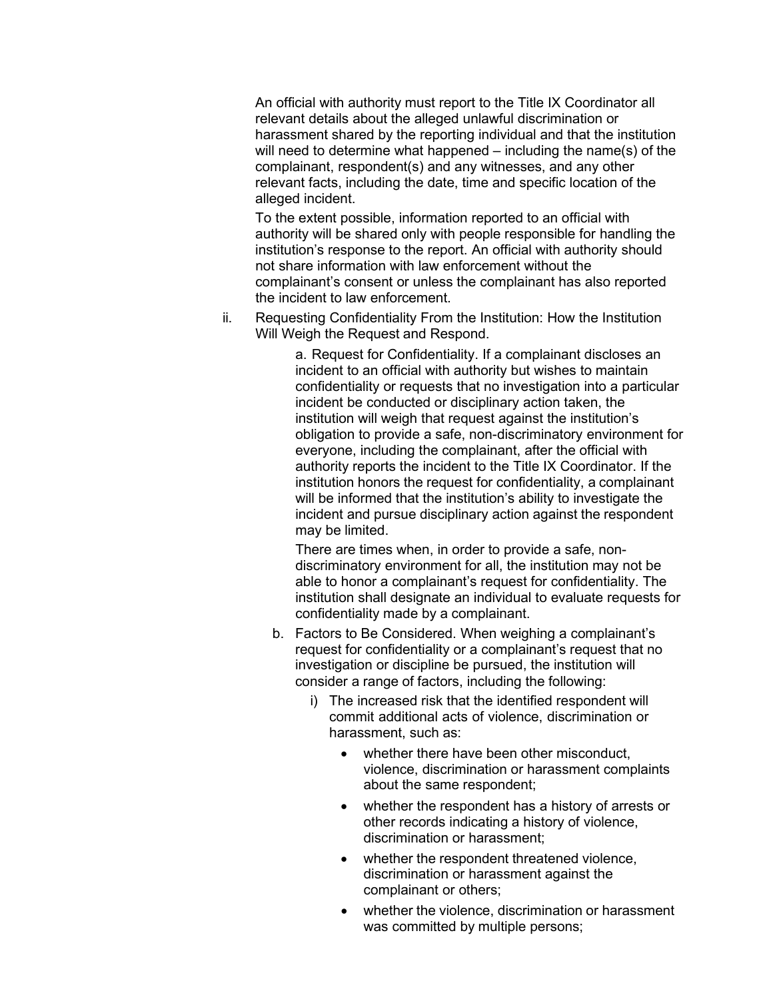An official with authority must report to the Title IX Coordinator all relevant details about the alleged unlawful discrimination or harassment shared by the reporting individual and that the institution will need to determine what happened – including the name(s) of the complainant, respondent(s) and any witnesses, and any other relevant facts, including the date, time and specific location of the alleged incident.

To the extent possible, information reported to an official with authority will be shared only with people responsible for handling the institution's response to the report. An official with authority should not share information with law enforcement without the complainant's consent or unless the complainant has also reported the incident to law enforcement.

ii. Requesting Confidentiality From the Institution: How the Institution Will Weigh the Request and Respond.

> a. Request for Confidentiality. If a complainant discloses an incident to an official with authority but wishes to maintain confidentiality or requests that no investigation into a particular incident be conducted or disciplinary action taken, the institution will weigh that request against the institution's obligation to provide a safe, non-discriminatory environment for everyone, including the complainant, after the official with authority reports the incident to the Title IX Coordinator. If the institution honors the request for confidentiality, a complainant will be informed that the institution's ability to investigate the incident and pursue disciplinary action against the respondent may be limited.

> <span id="page-16-0"></span>There are times when, in order to provide a safe, nondiscriminatory environment for all, the institution may not be able to honor a complainant's request for confidentiality. The institution shall designate an individual to evaluate requests for confidentiality made by a complainant.

- b. Factors to Be Considered. When weighing a complainant's request for confidentiality or a complainant's request that no investigation or discipline be pursued, the institution will consider a range of factors, including the following:
	- i) The increased risk that the identified respondent will commit additional acts of violence, discrimination or harassment, such as:
		- whether there have been other misconduct, violence, discrimination or harassment complaints about the same respondent;
		- whether the respondent has a history of arrests or other records indicating a history of violence, discrimination or harassment;
		- whether the respondent threatened violence, discrimination or harassment against the complainant or others;
		- whether the violence, discrimination or harassment was committed by multiple persons;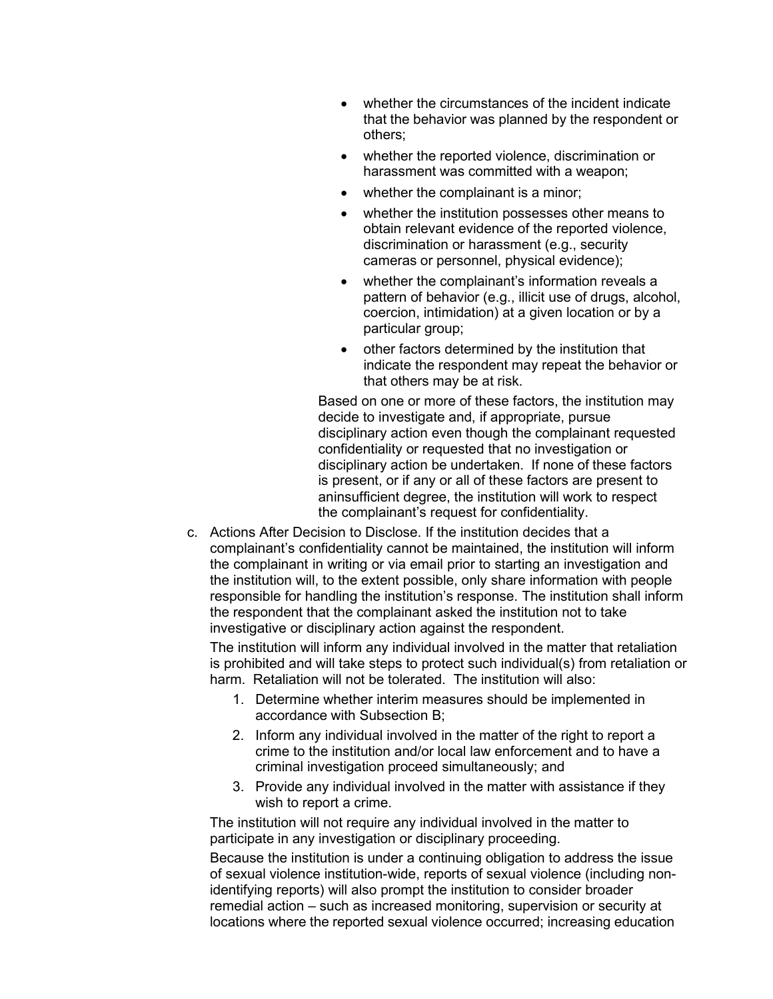- whether the circumstances of the incident indicate that the behavior was planned by the respondent or others;
- whether the reported violence, discrimination or harassment was committed with a weapon;
- whether the complainant is a minor;
- whether the institution possesses other means to obtain relevant evidence of the reported violence, discrimination or harassment (e.g., security cameras or personnel, physical evidence);
- whether the complainant's information reveals a pattern of behavior (e.g., illicit use of drugs, alcohol, coercion, intimidation) at a given location or by a particular group;
- other factors determined by the institution that indicate the respondent may repeat the behavior or that others may be at risk.

Based on one or more of these factors, the institution may decide to investigate and, if appropriate, pursue disciplinary action even though the complainant requested confidentiality or requested that no investigation or disciplinary action be undertaken. If none of these factors is present, or if any or all of these factors are present to aninsufficient degree, the institution will work to respect the complainant's request for confidentiality.

c. Actions After Decision to Disclose. If the institution decides that a complainant's confidentiality cannot be maintained, the institution will inform the complainant in writing or via email prior to starting an investigation and the institution will, to the extent possible, only share information with people responsible for handling the institution's response. The institution shall inform the respondent that the complainant asked the institution not to take investigative or disciplinary action against the respondent.

The institution will inform any individual involved in the matter that retaliation is prohibited and will take steps to protect such individual(s) from retaliation or harm. Retaliation will not be tolerated. The institution will also:

- 1. Determine whether interim measures should be implemented in accordance with Subsection B;
- 2. Inform any individual involved in the matter of the right to report a crime to the institution and/or local law enforcement and to have a criminal investigation proceed simultaneously; and
- 3. Provide any individual involved in the matter with assistance if they wish to report a crime.

The institution will not require any individual involved in the matter to participate in any investigation or disciplinary proceeding.

Because the institution is under a continuing obligation to address the issue of sexual violence institution-wide, reports of sexual violence (including nonidentifying reports) will also prompt the institution to consider broader remedial action – such as increased monitoring, supervision or security at locations where the reported sexual violence occurred; increasing education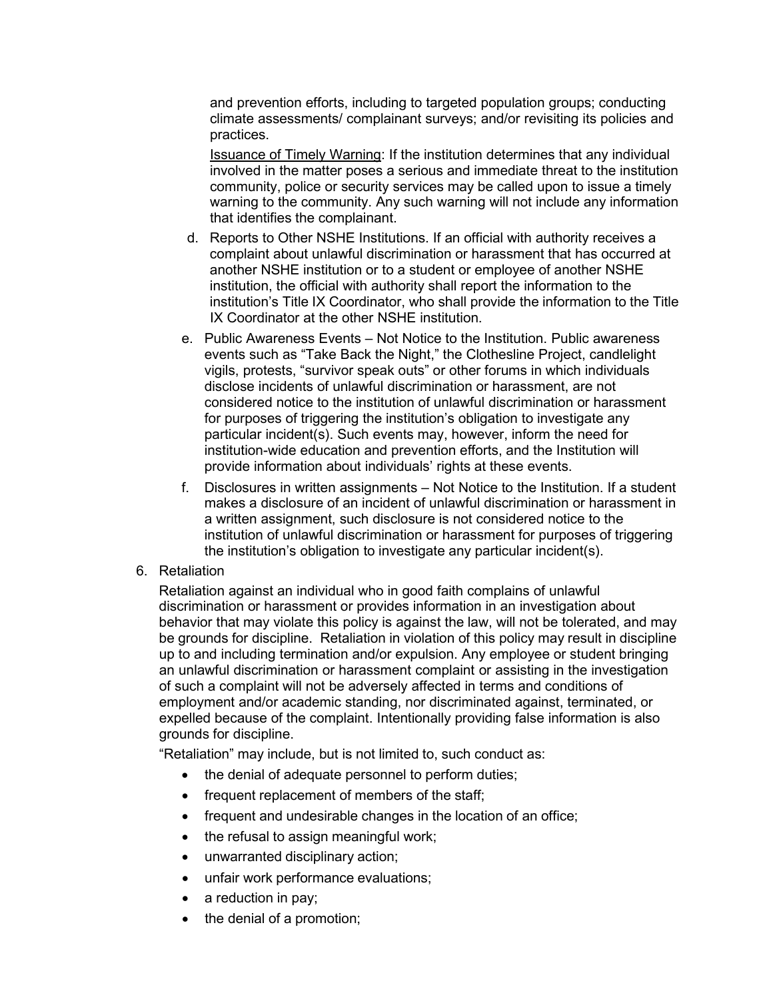and prevention efforts, including to targeted population groups; conducting climate assessments/ complainant surveys; and/or revisiting its policies and practices.

Issuance of Timely Warning: If the institution determines that any individual involved in the matter poses a serious and immediate threat to the institution community, police or security services may be called upon to issue a timely warning to the community. Any such warning will not include any information that identifies the complainant.

- d. Reports to Other NSHE Institutions. If an official with authority receives a complaint about unlawful discrimination or harassment that has occurred at another NSHE institution or to a student or employee of another NSHE institution, the official with authority shall report the information to the institution's Title IX Coordinator, who shall provide the information to the Title IX Coordinator at the other NSHE institution.
- e. Public Awareness Events Not Notice to the Institution. Public awareness events such as "Take Back the Night," the Clothesline Project, candlelight vigils, protests, "survivor speak outs" or other forums in which individuals disclose incidents of unlawful discrimination or harassment, are not considered notice to the institution of unlawful discrimination or harassment for purposes of triggering the institution's obligation to investigate any particular incident(s). Such events may, however, inform the need for institution-wide education and prevention efforts, and the Institution will provide information about individuals' rights at these events.
- f. Disclosures in written assignments Not Notice to the Institution. If a student makes a disclosure of an incident of unlawful discrimination or harassment in a written assignment, such disclosure is not considered notice to the institution of unlawful discrimination or harassment for purposes of triggering the institution's obligation to investigate any particular incident(s).
- 6. Retaliation

Retaliation against an individual who in good faith complains of unlawful discrimination or harassment or provides information in an investigation about behavior that may violate this policy is against the law, will not be tolerated, and may be grounds for discipline. Retaliation in violation of this policy may result in discipline up to and including termination and/or expulsion. Any employee or student bringing an unlawful discrimination or harassment complaint or assisting in the investigation of such a complaint will not be adversely affected in terms and conditions of employment and/or academic standing, nor discriminated against, terminated, or expelled because of the complaint. Intentionally providing false information is also grounds for discipline.

"Retaliation" may include, but is not limited to, such conduct as:

- the denial of adequate personnel to perform duties;
- frequent replacement of members of the staff;
- frequent and undesirable changes in the location of an office;
- the refusal to assign meaningful work;
- unwarranted disciplinary action;
- unfair work performance evaluations;
- a reduction in pay;
- the denial of a promotion;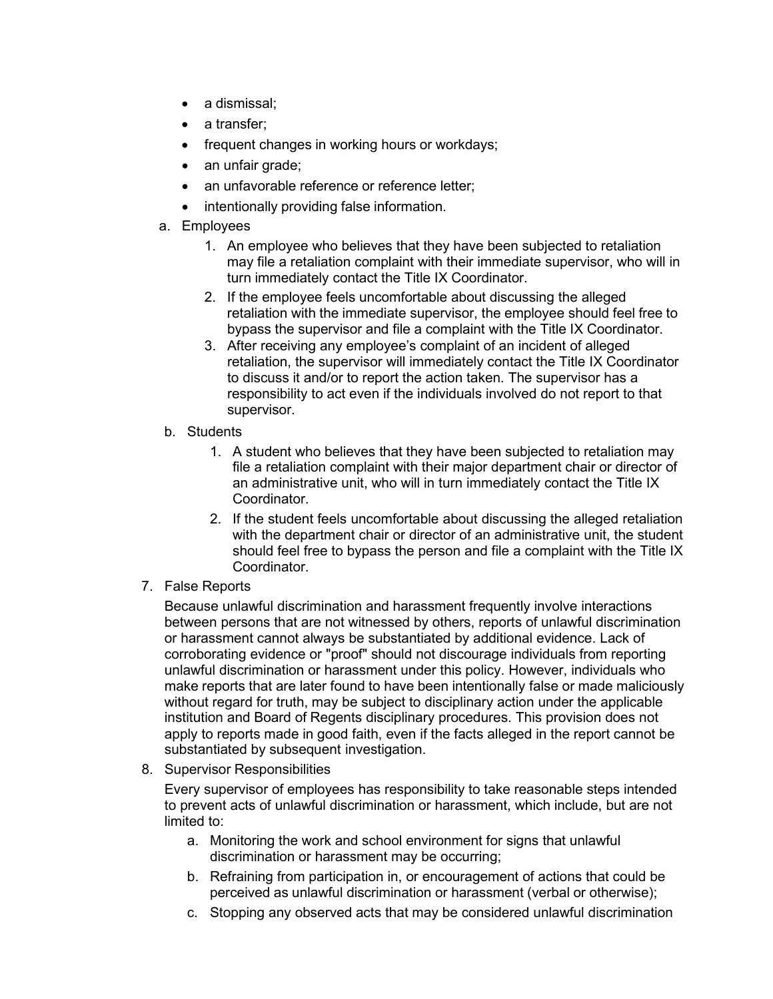- a dismissal;
- a transfer;
- frequent changes in working hours or workdays;
- an unfair grade;
- an unfavorable reference or reference letter;
- intentionally providing false information.
- a. Employees
	- 1. An employee who believes that they have been subjected to retaliation may file a retaliation complaint with their immediate supervisor, who will in turn immediately contact the Title IX Coordinator.
	- 2. If the employee feels uncomfortable about discussing the alleged retaliation with the immediate supervisor, the employee should feel free to bypass the supervisor and file a complaint with the Title IX Coordinator.
	- 3. After receiving any employee's complaint of an incident of alleged retaliation, the supervisor will immediately contact the Title IX Coordinator to discuss it and/or to report the action taken. The supervisor has a responsibility to act even if the individuals involved do not report to that supervisor.
- b. Students
	- 1. A student who believes that they have been subjected to retaliation may file a retaliation complaint with their major department chair or director of an administrative unit, who will in turn immediately contact the Title IX Coordinator.
	- 2. If the student feels uncomfortable about discussing the alleged retaliation with the department chair or director of an administrative unit, the student should feel free to bypass the person and file a complaint with the Title IX Coordinator.
- 7. False Reports

Because unlawful discrimination and harassment frequently involve interactions between persons that are not witnessed by others, reports of unlawful discrimination or harassment cannot always be substantiated by additional evidence. Lack of corroborating evidence or "proof" should not discourage individuals from reporting unlawful discrimination or harassment under this policy. However, individuals who make reports that are later found to have been intentionally false or made maliciously without regard for truth, may be subject to disciplinary action under the applicable institution and Board of Regents disciplinary procedures. This provision does not apply to reports made in good faith, even if the facts alleged in the report cannot be substantiated by subsequent investigation.

8. Supervisor Responsibilities

Every supervisor of employees has responsibility to take reasonable steps intended to prevent acts of unlawful discrimination or harassment, which include, but are not limited to:

- a. Monitoring the work and school environment for signs that unlawful discrimination or harassment may be occurring;
- b. Refraining from participation in, or encouragement of actions that could be perceived as unlawful discrimination or harassment (verbal or otherwise);
- c. Stopping any observed acts that may be considered unlawful discrimination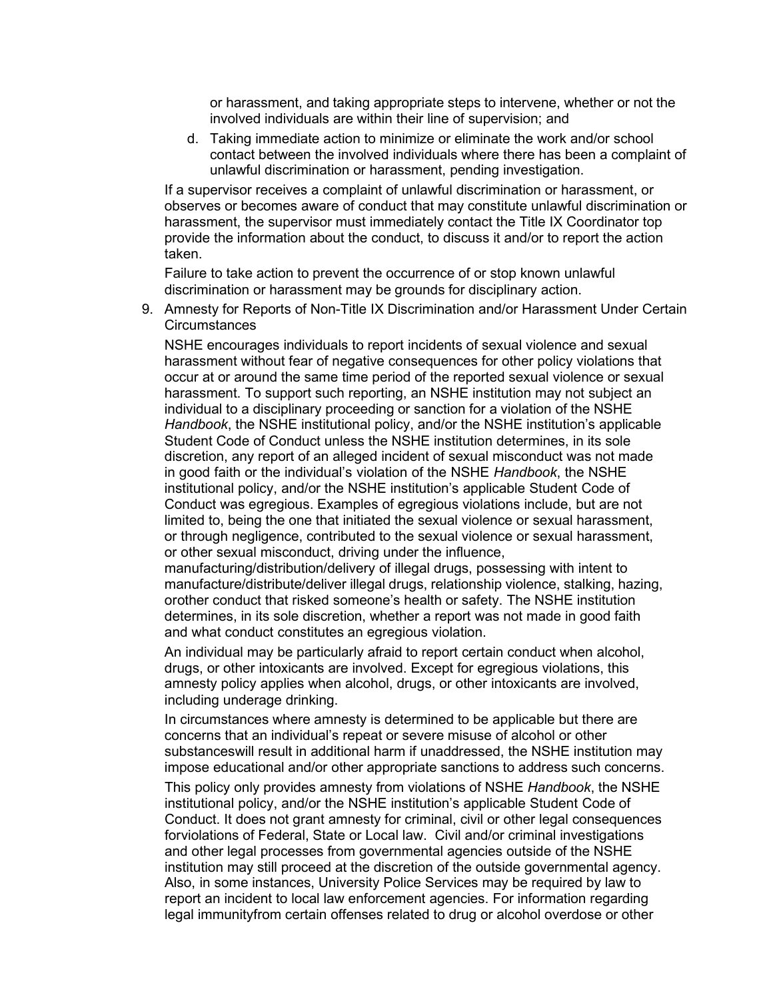or harassment, and taking appropriate steps to intervene, whether or not the involved individuals are within their line of supervision; and

d. Taking immediate action to minimize or eliminate the work and/or school contact between the involved individuals where there has been a complaint of unlawful discrimination or harassment, pending investigation.

If a supervisor receives a complaint of unlawful discrimination or harassment, or observes or becomes aware of conduct that may constitute unlawful discrimination or harassment, the supervisor must immediately contact the Title IX Coordinator top provide the information about the conduct, to discuss it and/or to report the action taken.

Failure to take action to prevent the occurrence of or stop known unlawful discrimination or harassment may be grounds for disciplinary action.

9. Amnesty for Reports of Non-Title IX Discrimination and/or Harassment Under Certain **Circumstances** 

NSHE encourages individuals to report incidents of sexual violence and sexual harassment without fear of negative consequences for other policy violations that occur at or around the same time period of the reported sexual violence or sexual harassment. To support such reporting, an NSHE institution may not subject an individual to a disciplinary proceeding or sanction for a violation of the NSHE *Handbook*, the NSHE institutional policy, and/or the NSHE institution's applicable Student Code of Conduct unless the NSHE institution determines, in its sole discretion, any report of an alleged incident of sexual misconduct was not made in good faith or the individual's violation of the NSHE *Handbook*, the NSHE institutional policy, and/or the NSHE institution's applicable Student Code of Conduct was egregious. Examples of egregious violations include, but are not limited to, being the one that initiated the sexual violence or sexual harassment, or through negligence, contributed to the sexual violence or sexual harassment, or other sexual misconduct, driving under the influence,

manufacturing/distribution/delivery of illegal drugs, possessing with intent to manufacture/distribute/deliver illegal drugs, relationship violence, stalking, hazing, orother conduct that risked someone's health or safety. The NSHE institution determines, in its sole discretion, whether a report was not made in good faith and what conduct constitutes an egregious violation.

An individual may be particularly afraid to report certain conduct when alcohol, drugs, or other intoxicants are involved. Except for egregious violations, this amnesty policy applies when alcohol, drugs, or other intoxicants are involved, including underage drinking.

In circumstances where amnesty is determined to be applicable but there are concerns that an individual's repeat or severe misuse of alcohol or other substanceswill result in additional harm if unaddressed, the NSHE institution may impose educational and/or other appropriate sanctions to address such concerns.

This policy only provides amnesty from violations of NSHE *Handbook*, the NSHE institutional policy, and/or the NSHE institution's applicable Student Code of Conduct. It does not grant amnesty for criminal, civil or other legal consequences forviolations of Federal, State or Local law. Civil and/or criminal investigations and other legal processes from governmental agencies outside of the NSHE institution may still proceed at the discretion of the outside governmental agency. Also, in some instances, University Police Services may be required by law to report an incident to local law enforcement agencies. For information regarding legal immunityfrom certain offenses related to drug or alcohol overdose or other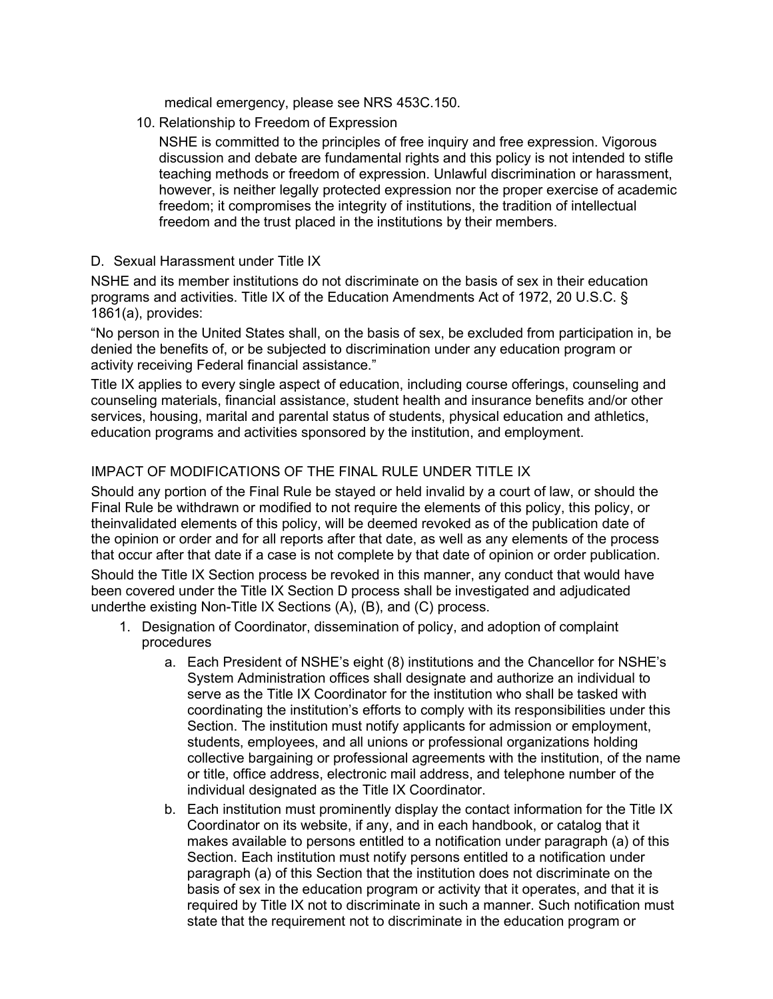medical emergency, please see NRS 453C.150.

10. Relationship to Freedom of Expression

NSHE is committed to the principles of free inquiry and free expression. Vigorous discussion and debate are fundamental rights and this policy is not intended to stifle teaching methods or freedom of expression. Unlawful discrimination or harassment, however, is neither legally protected expression nor the proper exercise of academic freedom; it compromises the integrity of institutions, the tradition of intellectual freedom and the trust placed in the institutions by their members.

D. Sexual Harassment under Title IX

NSHE and its member institutions do not discriminate on the basis of sex in their education programs and activities. Title IX of the Education Amendments Act of 1972, 20 U.S.C. § 1861(a), provides:

"No person in the United States shall, on the basis of sex, be excluded from participation in, be denied the benefits of, or be subjected to discrimination under any education program or activity receiving Federal financial assistance."

Title IX applies to every single aspect of education, including course offerings, counseling and counseling materials, financial assistance, student health and insurance benefits and/or other services, housing, marital and parental status of students, physical education and athletics, education programs and activities sponsored by the institution, and employment.

# IMPACT OF MODIFICATIONS OF THE FINAL RULE UNDER TITLE IX

Should any portion of the Final Rule be stayed or held invalid by a court of law, or should the Final Rule be withdrawn or modified to not require the elements of this policy, this policy, or theinvalidated elements of this policy, will be deemed revoked as of the publication date of the opinion or order and for all reports after that date, as well as any elements of the process that occur after that date if a case is not complete by that date of opinion or order publication.

Should the Title IX Section process be revoked in this manner, any conduct that would have been covered under the Title IX Section D process shall be investigated and adjudicated underthe existing Non-Title IX Sections (A), (B), and (C) process.

- 1. Designation of Coordinator, dissemination of policy, and adoption of complaint procedures
	- a. Each President of NSHE's eight (8) institutions and the Chancellor for NSHE's System Administration offices shall designate and authorize an individual to serve as the Title IX Coordinator for the institution who shall be tasked with coordinating the institution's efforts to comply with its responsibilities under this Section. The institution must notify applicants for admission or employment, students, employees, and all unions or professional organizations holding collective bargaining or professional agreements with the institution, of the name or title, office address, electronic mail address, and telephone number of the individual designated as the Title IX Coordinator.
	- b. Each institution must prominently display the contact information for the Title IX Coordinator on its website, if any, and in each handbook, or catalog that it makes available to persons entitled to a notification under paragraph (a) of this Section. Each institution must notify persons entitled to a notification under paragraph (a) of this Section that the institution does not discriminate on the basis of sex in the education program or activity that it operates, and that it is required by Title IX not to discriminate in such a manner. Such notification must state that the requirement not to discriminate in the education program or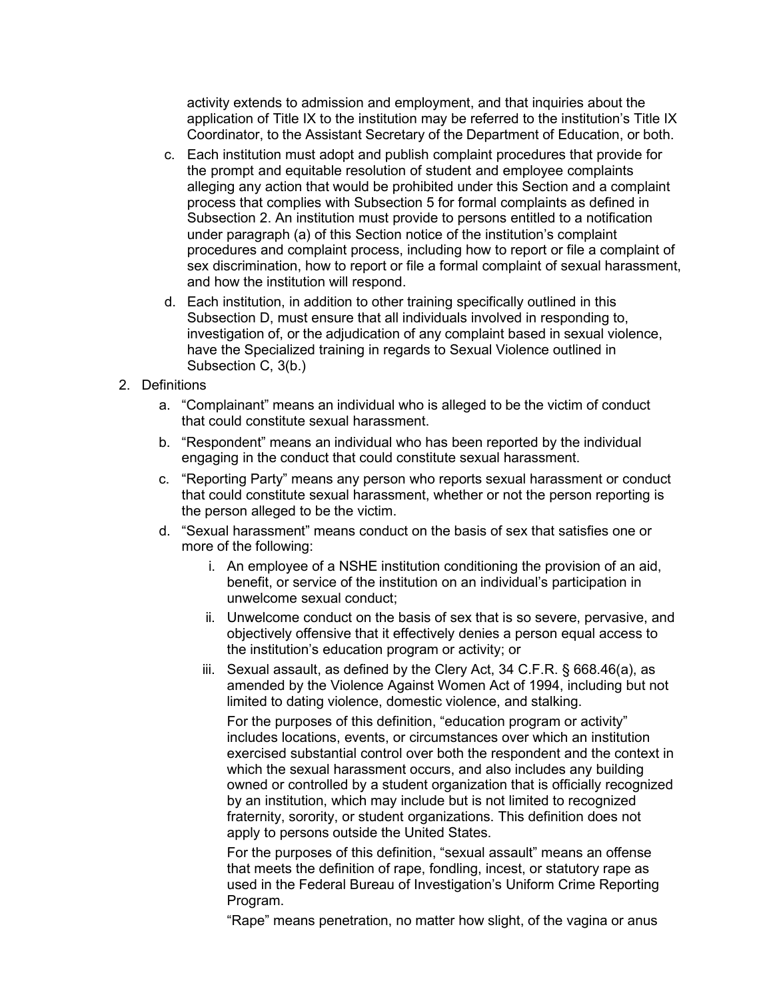activity extends to admission and employment, and that inquiries about the application of Title IX to the institution may be referred to the institution's Title IX Coordinator, to the Assistant Secretary of the Department of Education, or both.

- c. Each institution must adopt and publish complaint procedures that provide for the prompt and equitable resolution of student and employee complaints alleging any action that would be prohibited under this Section and a complaint process that complies with Subsection 5 for formal complaints as defined in Subsection 2. An institution must provide to persons entitled to a notification under paragraph (a) of this Section notice of the institution's complaint procedures and complaint process, including how to report or file a complaint of sex discrimination, how to report or file a formal complaint of sexual harassment, and how the institution will respond.
- d. Each institution, in addition to other training specifically outlined in this Subsection D, must ensure that all individuals involved in responding to, investigation of, or the adjudication of any complaint based in sexual violence, have the Specialized training in regards to Sexual Violence outlined in Subsection C, 3(b.)
- 2. Definitions
	- a. "Complainant" means an individual who is alleged to be the victim of conduct that could constitute sexual harassment.
	- b. "Respondent" means an individual who has been reported by the individual engaging in the conduct that could constitute sexual harassment.
	- c. "Reporting Party" means any person who reports sexual harassment or conduct that could constitute sexual harassment, whether or not the person reporting is the person alleged to be the victim.
	- d. "Sexual harassment" means conduct on the basis of sex that satisfies one or more of the following:
		- i. An employee of a NSHE institution conditioning the provision of an aid, benefit, or service of the institution on an individual's participation in unwelcome sexual conduct;
		- ii. Unwelcome conduct on the basis of sex that is so severe, pervasive, and objectively offensive that it effectively denies a person equal access to the institution's education program or activity; or
		- iii. Sexual assault, as defined by the Clery Act, 34 C.F.R. § 668.46(a), as amended by the Violence Against Women Act of 1994, including but not limited to dating violence, domestic violence, and stalking.

For the purposes of this definition, "education program or activity" includes locations, events, or circumstances over which an institution exercised substantial control over both the respondent and the context in which the sexual harassment occurs, and also includes any building owned or controlled by a student organization that is officially recognized by an institution, which may include but is not limited to recognized fraternity, sorority, or student organizations. This definition does not apply to persons outside the United States.

For the purposes of this definition, "sexual assault" means an offense that meets the definition of rape, fondling, incest, or statutory rape as used in the Federal Bureau of Investigation's Uniform Crime Reporting Program.

"Rape" means penetration, no matter how slight, of the vagina or anus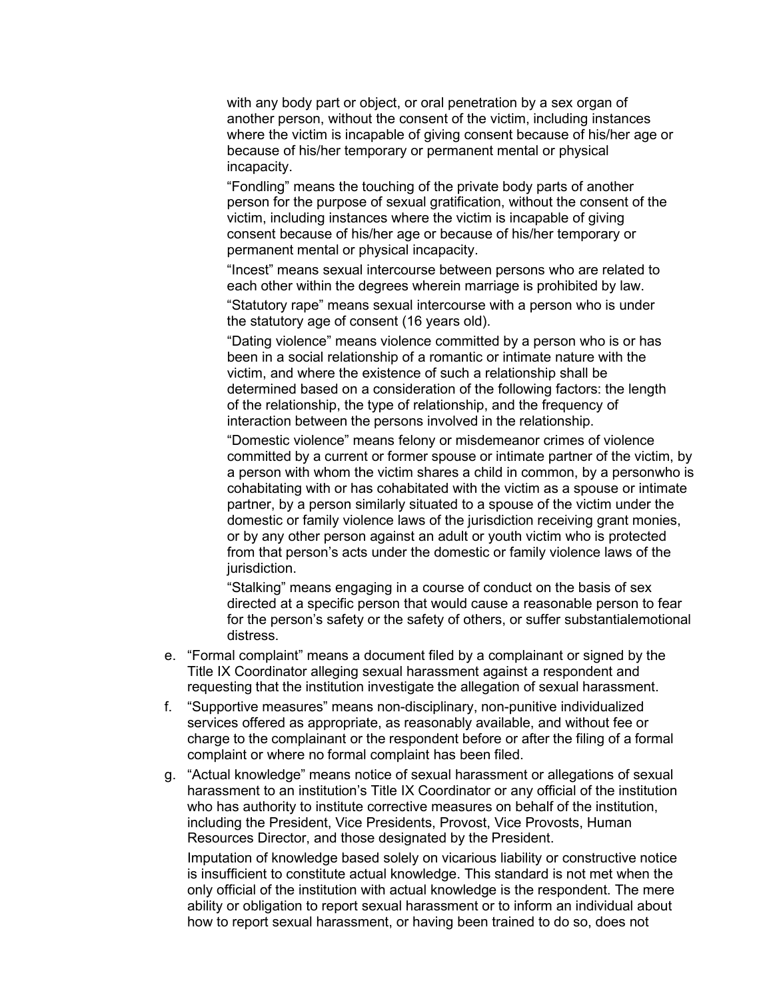with any body part or object, or oral penetration by a sex organ of another person, without the consent of the victim, including instances where the victim is incapable of giving consent because of his/her age or because of his/her temporary or permanent mental or physical incapacity.

"Fondling" means the touching of the private body parts of another person for the purpose of sexual gratification, without the consent of the victim, including instances where the victim is incapable of giving consent because of his/her age or because of his/her temporary or permanent mental or physical incapacity.

"Incest" means sexual intercourse between persons who are related to each other within the degrees wherein marriage is prohibited by law.

"Statutory rape" means sexual intercourse with a person who is under the statutory age of consent (16 years old).

"Dating violence" means violence committed by a person who is or has been in a social relationship of a romantic or intimate nature with the victim, and where the existence of such a relationship shall be determined based on a consideration of the following factors: the length of the relationship, the type of relationship, and the frequency of interaction between the persons involved in the relationship.

"Domestic violence" means felony or misdemeanor crimes of violence committed by a current or former spouse or intimate partner of the victim, by a person with whom the victim shares a child in common, by a personwho is cohabitating with or has cohabitated with the victim as a spouse or intimate partner, by a person similarly situated to a spouse of the victim under the domestic or family violence laws of the jurisdiction receiving grant monies, or by any other person against an adult or youth victim who is protected from that person's acts under the domestic or family violence laws of the jurisdiction.

"Stalking" means engaging in a course of conduct on the basis of sex directed at a specific person that would cause a reasonable person to fear for the person's safety or the safety of others, or suffer substantialemotional distress.

- e. "Formal complaint" means a document filed by a complainant or signed by the Title IX Coordinator alleging sexual harassment against a respondent and requesting that the institution investigate the allegation of sexual harassment.
- f. "Supportive measures" means non-disciplinary, non-punitive individualized services offered as appropriate, as reasonably available, and without fee or charge to the complainant or the respondent before or after the filing of a formal complaint or where no formal complaint has been filed.
- g. "Actual knowledge" means notice of sexual harassment or allegations of sexual harassment to an institution's Title IX Coordinator or any official of the institution who has authority to institute corrective measures on behalf of the institution, including the President, Vice Presidents, Provost, Vice Provosts, Human Resources Director, and those designated by the President.

Imputation of knowledge based solely on vicarious liability or constructive notice is insufficient to constitute actual knowledge. This standard is not met when the only official of the institution with actual knowledge is the respondent. The mere ability or obligation to report sexual harassment or to inform an individual about how to report sexual harassment, or having been trained to do so, does not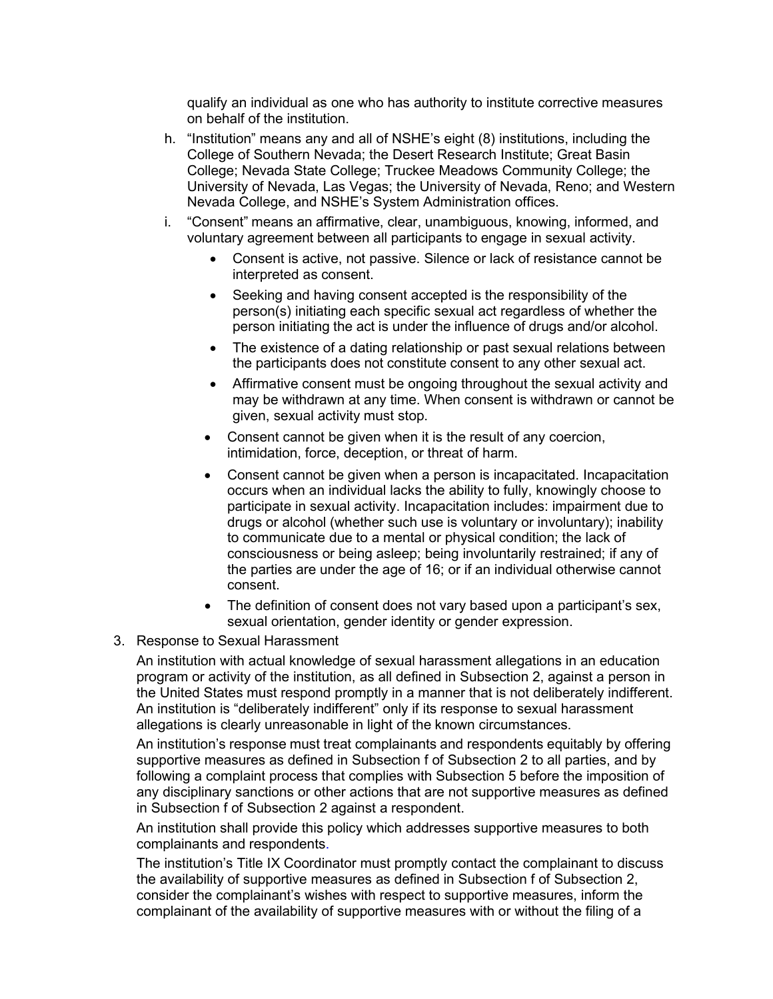qualify an individual as one who has authority to institute corrective measures on behalf of the institution.

- h. "Institution" means any and all of NSHE's eight (8) institutions, including the College of Southern Nevada; the Desert Research Institute; Great Basin College; Nevada State College; Truckee Meadows Community College; the University of Nevada, Las Vegas; the University of Nevada, Reno; and Western Nevada College, and NSHE's System Administration offices.
- i. "Consent" means an affirmative, clear, unambiguous, knowing, informed, and voluntary agreement between all participants to engage in sexual activity.
	- Consent is active, not passive. Silence or lack of resistance cannot be interpreted as consent.
	- Seeking and having consent accepted is the responsibility of the person(s) initiating each specific sexual act regardless of whether the person initiating the act is under the influence of drugs and/or alcohol.
	- The existence of a dating relationship or past sexual relations between the participants does not constitute consent to any other sexual act.
	- Affirmative consent must be ongoing throughout the sexual activity and may be withdrawn at any time. When consent is withdrawn or cannot be given, sexual activity must stop.
	- Consent cannot be given when it is the result of any coercion, intimidation, force, deception, or threat of harm.
	- Consent cannot be given when a person is incapacitated. Incapacitation occurs when an individual lacks the ability to fully, knowingly choose to participate in sexual activity. Incapacitation includes: impairment due to drugs or alcohol (whether such use is voluntary or involuntary); inability to communicate due to a mental or physical condition; the lack of consciousness or being asleep; being involuntarily restrained; if any of the parties are under the age of 16; or if an individual otherwise cannot consent.
	- The definition of consent does not vary based upon a participant's sex, sexual orientation, gender identity or gender expression.
- 3. Response to Sexual Harassment

An institution with actual knowledge of sexual harassment allegations in an education program or activity of the institution, as all defined in Subsection 2, against a person in the United States must respond promptly in a manner that is not deliberately indifferent. An institution is "deliberately indifferent" only if its response to sexual harassment allegations is clearly unreasonable in light of the known circumstances.

An institution's response must treat complainants and respondents equitably by offering supportive measures as defined in Subsection f of Subsection 2 to all parties, and by following a complaint process that complies with Subsection 5 before the imposition of any disciplinary sanctions or other actions that are not supportive measures as defined in Subsection f of Subsection 2 against a respondent.

An institution shall provide this policy which addresses supportive measures to both complainants and respondents.

The institution's Title IX Coordinator must promptly contact the complainant to discuss the availability of supportive measures as defined in Subsection f of Subsection 2, consider the complainant's wishes with respect to supportive measures, inform the complainant of the availability of supportive measures with or without the filing of a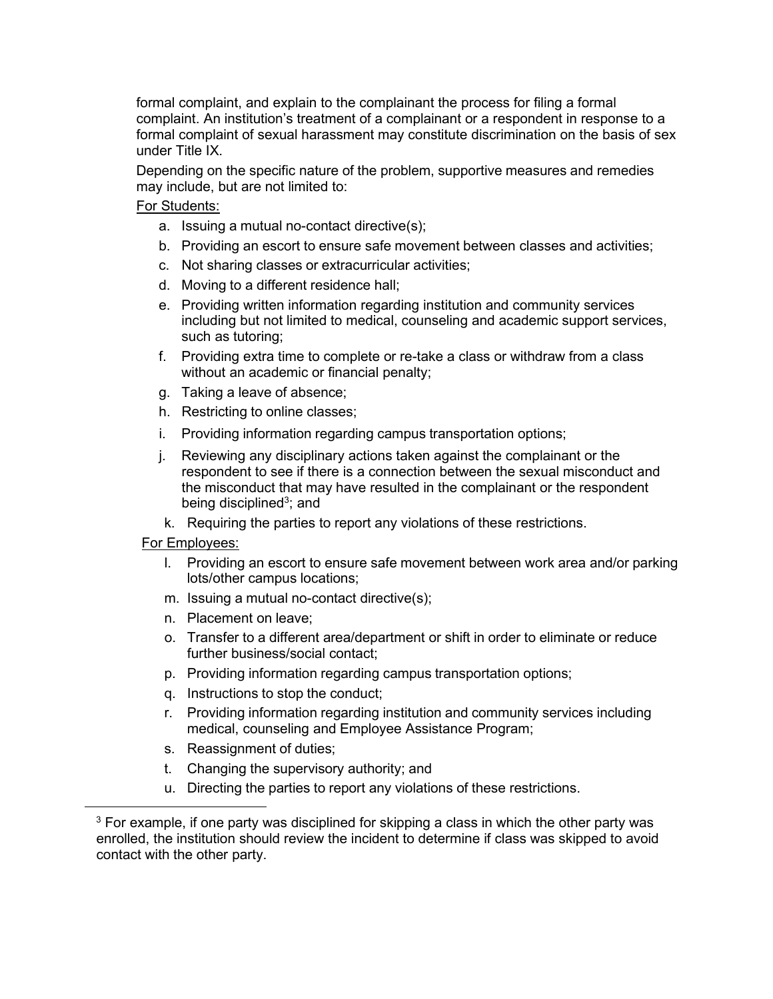formal complaint, and explain to the complainant the process for filing a formal complaint. An institution's treatment of a complainant or a respondent in response to a formal complaint of sexual harassment may constitute discrimination on the basis of sex under Title IX.

Depending on the specific nature of the problem, supportive measures and remedies may include, but are not limited to:

### For Students:

- a. Issuing a mutual no-contact directive(s);
- b. Providing an escort to ensure safe movement between classes and activities;
- c. Not sharing classes or extracurricular activities;
- d. Moving to a different residence hall;
- e. Providing written information regarding institution and community services including but not limited to medical, counseling and academic support services, such as tutoring;
- f. Providing extra time to complete or re-take a class or withdraw from a class without an academic or financial penalty;
- g. Taking a leave of absence;
- h. Restricting to online classes;
- i. Providing information regarding campus transportation options;
- j. Reviewing any disciplinary actions taken against the complainant or the respondent to see if there is a connection between the sexual misconduct and the misconduct that may have resulted in the complainant or the respondent being disciplined<sup>3</sup>; and
- k. Requiring the parties to report any violations of these restrictions.

### For Employees:

- l. Providing an escort to ensure safe movement between work area and/or parking lots/other campus locations;
- m. Issuing a mutual no-contact directive(s);
- n. Placement on leave;
- o. Transfer to a different area/department or shift in order to eliminate or reduce further business/social contact;
- p. Providing information regarding campus transportation options;
- q. Instructions to stop the conduct;
- r. Providing information regarding institution and community services including medical, counseling and Employee Assistance Program;
- s. Reassignment of duties;
- t. Changing the supervisory authority; and
- u. Directing the parties to report any violations of these restrictions.

<span id="page-25-0"></span> $3$  For example, if one party was disciplined for skipping a class in which the other party was enrolled, the institution should review the incident to determine if class was skipped to avoid contact with the other party.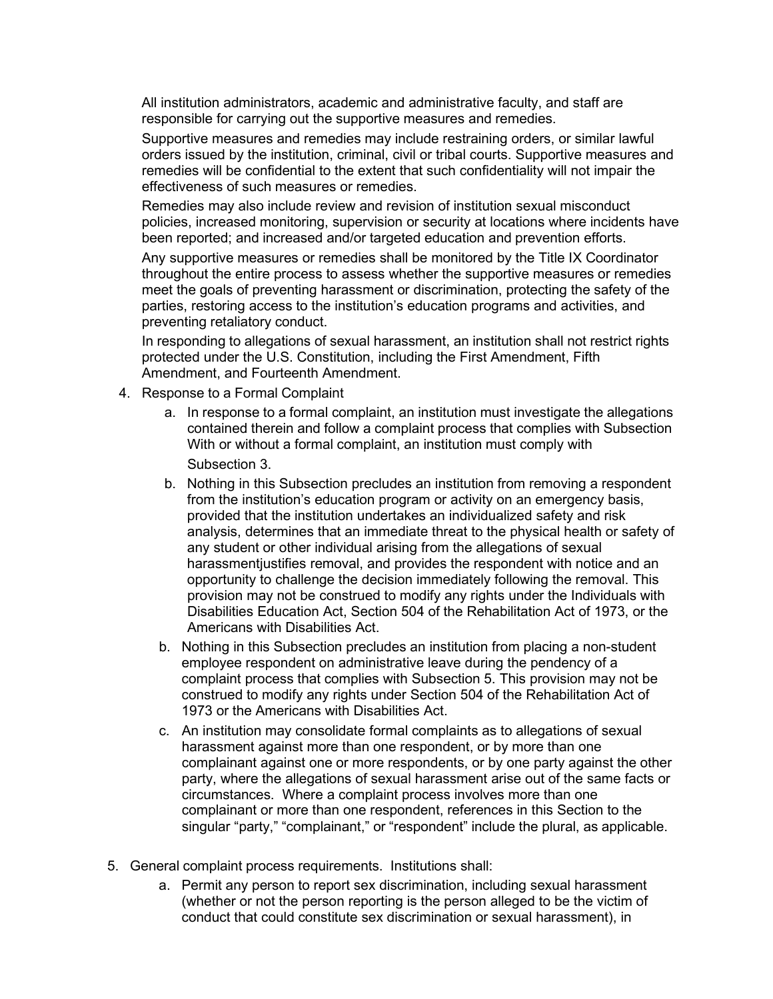All institution administrators, academic and administrative faculty, and staff are responsible for carrying out the supportive measures and remedies.

Supportive measures and remedies may include restraining orders, or similar lawful orders issued by the institution, criminal, civil or tribal courts. Supportive measures and remedies will be confidential to the extent that such confidentiality will not impair the effectiveness of such measures or remedies.

Remedies may also include review and revision of institution sexual misconduct policies, increased monitoring, supervision or security at locations where incidents have been reported; and increased and/or targeted education and prevention efforts.

Any supportive measures or remedies shall be monitored by the Title IX Coordinator throughout the entire process to assess whether the supportive measures or remedies meet the goals of preventing harassment or discrimination, protecting the safety of the parties, restoring access to the institution's education programs and activities, and preventing retaliatory conduct.

In responding to allegations of sexual harassment, an institution shall not restrict rights protected under the U.S. Constitution, including the First Amendment, Fifth Amendment, and Fourteenth Amendment.

- 4. Response to a Formal Complaint
	- a. In response to a formal complaint, an institution must investigate the allegations contained therein and follow a complaint process that complies with Subsection With or without a formal complaint, an institution must comply with Subsection 3.
	- b. Nothing in this Subsection precludes an institution from removing a respondent from the institution's education program or activity on an emergency basis, provided that the institution undertakes an individualized safety and risk analysis, determines that an immediate threat to the physical health or safety of any student or other individual arising from the allegations of sexual harassmentjustifies removal, and provides the respondent with notice and an opportunity to challenge the decision immediately following the removal. This provision may not be construed to modify any rights under the Individuals with Disabilities Education Act, Section 504 of the Rehabilitation Act of 1973, or the Americans with Disabilities Act.
	- b. Nothing in this Subsection precludes an institution from placing a non-student employee respondent on administrative leave during the pendency of a complaint process that complies with Subsection 5. This provision may not be construed to modify any rights under Section 504 of the Rehabilitation Act of 1973 or the Americans with Disabilities Act.
	- c. An institution may consolidate formal complaints as to allegations of sexual harassment against more than one respondent, or by more than one complainant against one or more respondents, or by one party against the other party, where the allegations of sexual harassment arise out of the same facts or circumstances. Where a complaint process involves more than one complainant or more than one respondent, references in this Section to the singular "party," "complainant," or "respondent" include the plural, as applicable.
- 5. General complaint process requirements. Institutions shall:
	- a. Permit any person to report sex discrimination, including sexual harassment (whether or not the person reporting is the person alleged to be the victim of conduct that could constitute sex discrimination or sexual harassment), in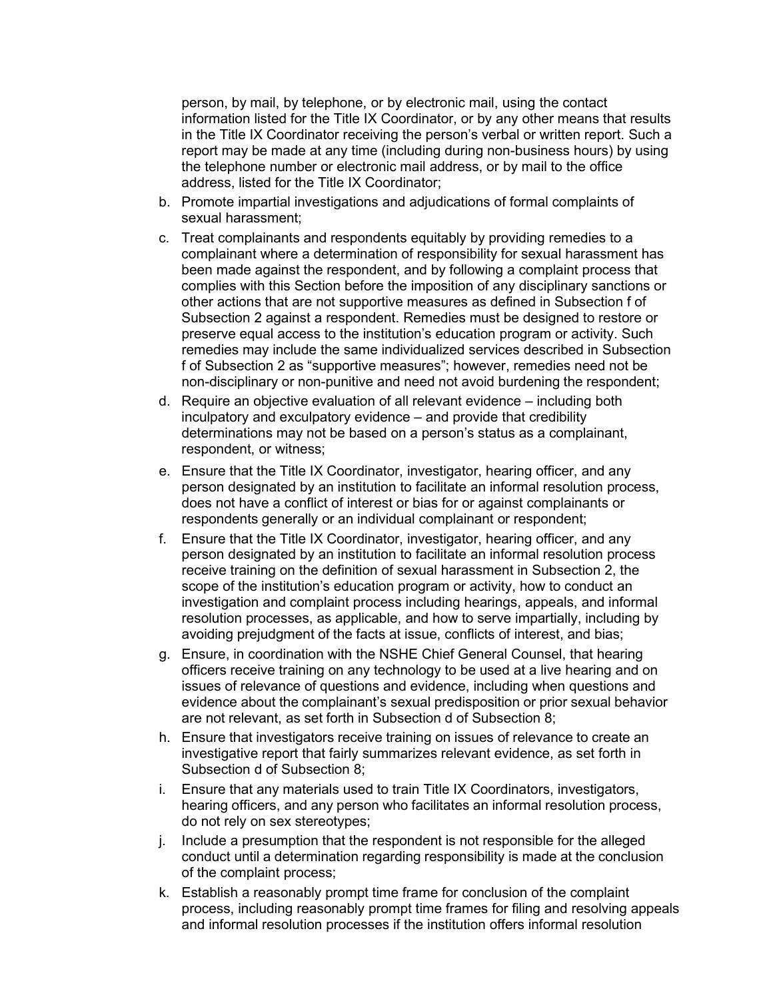person, by mail, by telephone, or by electronic mail, using the contact information listed for the Title IX Coordinator, or by any other means that results in the Title IX Coordinator receiving the person's verbal or written report. Such a report may be made at any time (including during non-business hours) by using the telephone number or electronic mail address, or by mail to the office address, listed for the Title IX Coordinator;

- b. Promote impartial investigations and adjudications of formal complaints of sexual harassment;
- c. Treat complainants and respondents equitably by providing remedies to a complainant where a determination of responsibility for sexual harassment has been made against the respondent, and by following a complaint process that complies with this Section before the imposition of any disciplinary sanctions or other actions that are not supportive measures as defined in Subsection f of Subsection 2 against a respondent. Remedies must be designed to restore or preserve equal access to the institution's education program or activity. Such remedies may include the same individualized services described in Subsection f of Subsection 2 as "supportive measures"; however, remedies need not be non-disciplinary or non-punitive and need not avoid burdening the respondent;
- d. Require an objective evaluation of all relevant evidence including both inculpatory and exculpatory evidence – and provide that credibility determinations may not be based on a person's status as a complainant, respondent, or witness;
- e. Ensure that the Title IX Coordinator, investigator, hearing officer, and any person designated by an institution to facilitate an informal resolution process, does not have a conflict of interest or bias for or against complainants or respondents generally or an individual complainant or respondent;
- f. Ensure that the Title IX Coordinator, investigator, hearing officer, and any person designated by an institution to facilitate an informal resolution process receive training on the definition of sexual harassment in Subsection 2, the scope of the institution's education program or activity, how to conduct an investigation and complaint process including hearings, appeals, and informal resolution processes, as applicable, and how to serve impartially, including by avoiding prejudgment of the facts at issue, conflicts of interest, and bias;
- g. Ensure, in coordination with the NSHE Chief General Counsel, that hearing officers receive training on any technology to be used at a live hearing and on issues of relevance of questions and evidence, including when questions and evidence about the complainant's sexual predisposition or prior sexual behavior are not relevant, as set forth in Subsection d of Subsection 8;
- h. Ensure that investigators receive training on issues of relevance to create an investigative report that fairly summarizes relevant evidence, as set forth in Subsection d of Subsection 8;
- i. Ensure that any materials used to train Title IX Coordinators, investigators, hearing officers, and any person who facilitates an informal resolution process, do not rely on sex stereotypes;
- j. Include a presumption that the respondent is not responsible for the alleged conduct until a determination regarding responsibility is made at the conclusion of the complaint process;
- k. Establish a reasonably prompt time frame for conclusion of the complaint process, including reasonably prompt time frames for filing and resolving appeals and informal resolution processes if the institution offers informal resolution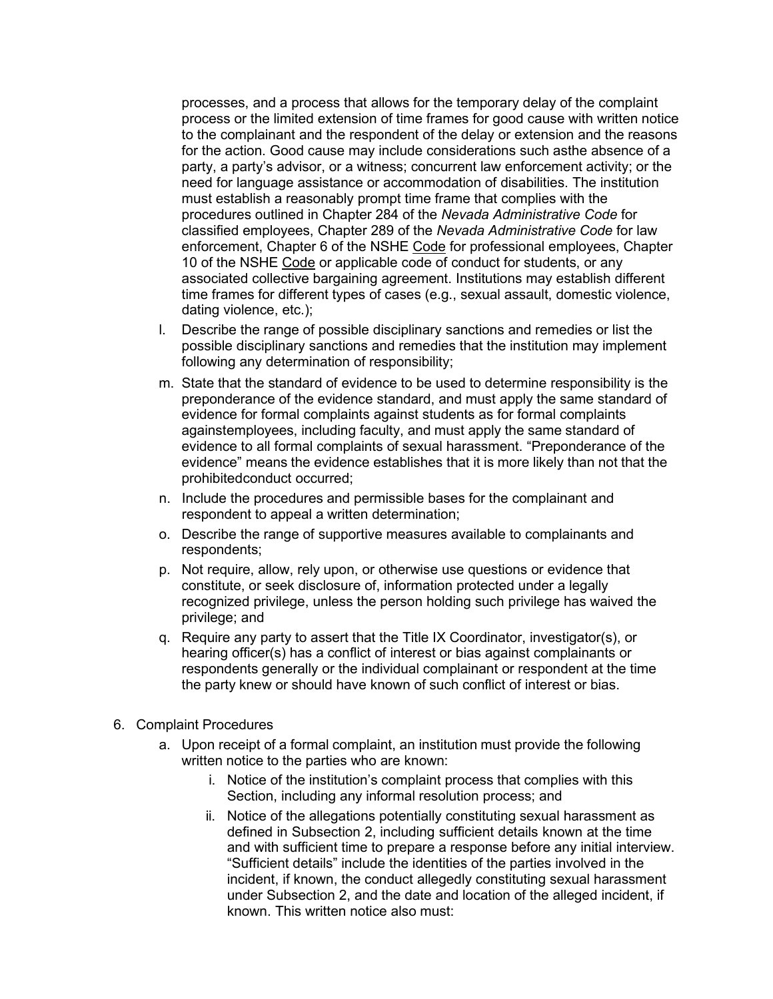processes, and a process that allows for the temporary delay of the complaint process or the limited extension of time frames for good cause with written notice to the complainant and the respondent of the delay or extension and the reasons for the action. Good cause may include considerations such asthe absence of a party, a party's advisor, or a witness; concurrent law enforcement activity; or the need for language assistance or accommodation of disabilities. The institution must establish a reasonably prompt time frame that complies with the procedures outlined in Chapter 284 of the *Nevada Administrative Code* for classified employees, Chapter 289 of the *Nevada Administrative Code* for law enforcement, Chapter 6 of the NSHE Code for professional employees, Chapter 10 of the NSHE Code or applicable code of conduct for students, or any associated collective bargaining agreement. Institutions may establish different time frames for different types of cases (e.g., sexual assault, domestic violence, dating violence, etc.);

- l. Describe the range of possible disciplinary sanctions and remedies or list the possible disciplinary sanctions and remedies that the institution may implement following any determination of responsibility;
- m. State that the standard of evidence to be used to determine responsibility is the preponderance of the evidence standard, and must apply the same standard of evidence for formal complaints against students as for formal complaints againstemployees, including faculty, and must apply the same standard of evidence to all formal complaints of sexual harassment. "Preponderance of the evidence" means the evidence establishes that it is more likely than not that the prohibitedconduct occurred;
- n. Include the procedures and permissible bases for the complainant and respondent to appeal a written determination;
- o. Describe the range of supportive measures available to complainants and respondents;
- p. Not require, allow, rely upon, or otherwise use questions or evidence that constitute, or seek disclosure of, information protected under a legally recognized privilege, unless the person holding such privilege has waived the privilege; and
- q. Require any party to assert that the Title IX Coordinator, investigator(s), or hearing officer(s) has a conflict of interest or bias against complainants or respondents generally or the individual complainant or respondent at the time the party knew or should have known of such conflict of interest or bias.
- 6. Complaint Procedures
	- a. Upon receipt of a formal complaint, an institution must provide the following written notice to the parties who are known:
		- i. Notice of the institution's complaint process that complies with this Section, including any informal resolution process; and
		- ii. Notice of the allegations potentially constituting sexual harassment as defined in Subsection 2, including sufficient details known at the time and with sufficient time to prepare a response before any initial interview. "Sufficient details" include the identities of the parties involved in the incident, if known, the conduct allegedly constituting sexual harassment under Subsection 2, and the date and location of the alleged incident, if known. This written notice also must: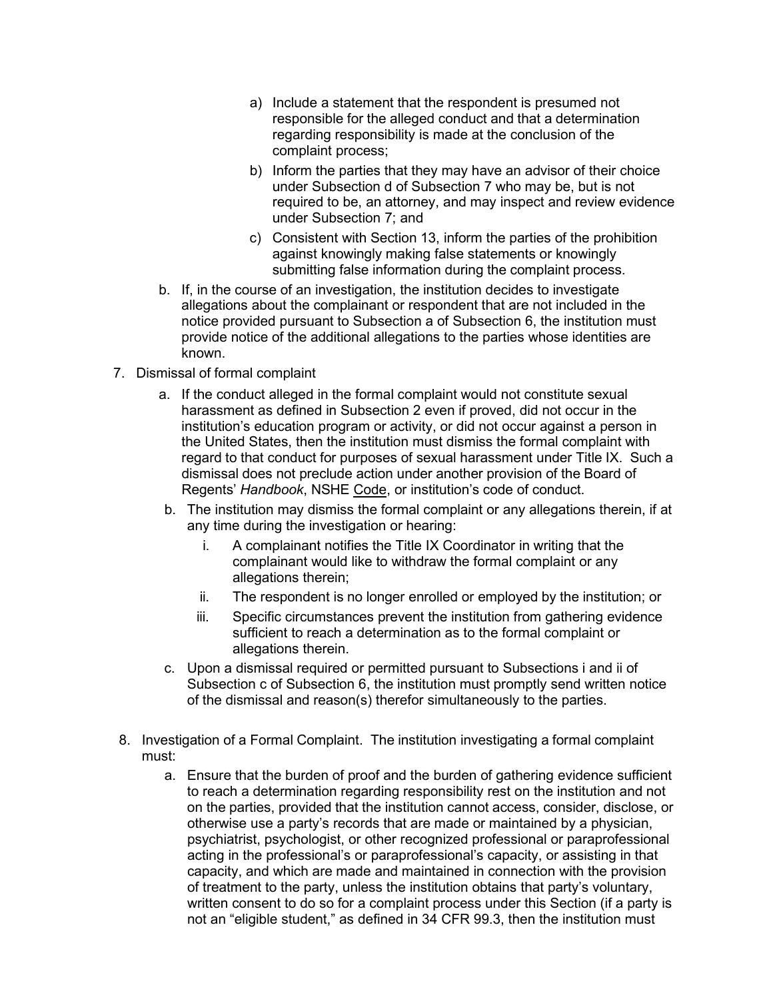- a) Include a statement that the respondent is presumed not responsible for the alleged conduct and that a determination regarding responsibility is made at the conclusion of the complaint process;
- b) Inform the parties that they may have an advisor of their choice under Subsection d of Subsection 7 who may be, but is not required to be, an attorney, and may inspect and review evidence under Subsection 7; and
- c) Consistent with Section 13, inform the parties of the prohibition against knowingly making false statements or knowingly submitting false information during the complaint process.
- b. If, in the course of an investigation, the institution decides to investigate allegations about the complainant or respondent that are not included in the notice provided pursuant to Subsection a of Subsection 6, the institution must provide notice of the additional allegations to the parties whose identities are known.
- 7. Dismissal of formal complaint
	- a. If the conduct alleged in the formal complaint would not constitute sexual harassment as defined in Subsection 2 even if proved, did not occur in the institution's education program or activity, or did not occur against a person in the United States, then the institution must dismiss the formal complaint with regard to that conduct for purposes of sexual harassment under Title IX. Such a dismissal does not preclude action under another provision of the Board of Regents' *Handbook*, NSHE Code, or institution's code of conduct.
	- b. The institution may dismiss the formal complaint or any allegations therein, if at any time during the investigation or hearing:
		- i. A complainant notifies the Title IX Coordinator in writing that the complainant would like to withdraw the formal complaint or any allegations therein;
		- ii. The respondent is no longer enrolled or employed by the institution; or
		- iii. Specific circumstances prevent the institution from gathering evidence sufficient to reach a determination as to the formal complaint or allegations therein.
	- c. Upon a dismissal required or permitted pursuant to Subsections i and ii of Subsection c of Subsection 6, the institution must promptly send written notice of the dismissal and reason(s) therefor simultaneously to the parties.
- 8. Investigation of a Formal Complaint. The institution investigating a formal complaint must:
	- a. Ensure that the burden of proof and the burden of gathering evidence sufficient to reach a determination regarding responsibility rest on the institution and not on the parties, provided that the institution cannot access, consider, disclose, or otherwise use a party's records that are made or maintained by a physician, psychiatrist, psychologist, or other recognized professional or paraprofessional acting in the professional's or paraprofessional's capacity, or assisting in that capacity, and which are made and maintained in connection with the provision of treatment to the party, unless the institution obtains that party's voluntary, written consent to do so for a complaint process under this Section (if a party is not an "eligible student," as defined in 34 CFR 99.3, then the institution must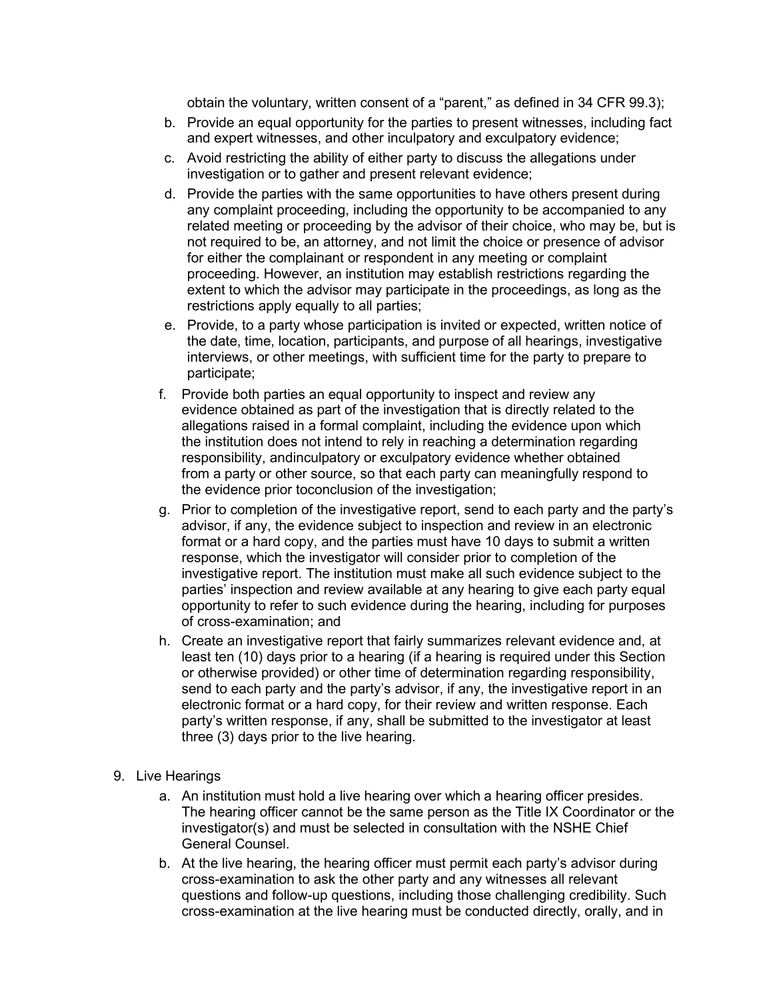obtain the voluntary, written consent of a "parent," as defined in 34 CFR 99.3);

- b. Provide an equal opportunity for the parties to present witnesses, including fact and expert witnesses, and other inculpatory and exculpatory evidence;
- c. Avoid restricting the ability of either party to discuss the allegations under investigation or to gather and present relevant evidence;
- d. Provide the parties with the same opportunities to have others present during any complaint proceeding, including the opportunity to be accompanied to any related meeting or proceeding by the advisor of their choice, who may be, but is not required to be, an attorney, and not limit the choice or presence of advisor for either the complainant or respondent in any meeting or complaint proceeding. However, an institution may establish restrictions regarding the extent to which the advisor may participate in the proceedings, as long as the restrictions apply equally to all parties;
- e. Provide, to a party whose participation is invited or expected, written notice of the date, time, location, participants, and purpose of all hearings, investigative interviews, or other meetings, with sufficient time for the party to prepare to participate;
- f. Provide both parties an equal opportunity to inspect and review any evidence obtained as part of the investigation that is directly related to the allegations raised in a formal complaint, including the evidence upon which the institution does not intend to rely in reaching a determination regarding responsibility, andinculpatory or exculpatory evidence whether obtained from a party or other source, so that each party can meaningfully respond to the evidence prior toconclusion of the investigation;
- g. Prior to completion of the investigative report, send to each party and the party's advisor, if any, the evidence subject to inspection and review in an electronic format or a hard copy, and the parties must have 10 days to submit a written response, which the investigator will consider prior to completion of the investigative report. The institution must make all such evidence subject to the parties' inspection and review available at any hearing to give each party equal opportunity to refer to such evidence during the hearing, including for purposes of cross-examination; and
- h. Create an investigative report that fairly summarizes relevant evidence and, at least ten (10) days prior to a hearing (if a hearing is required under this Section or otherwise provided) or other time of determination regarding responsibility, send to each party and the party's advisor, if any, the investigative report in an electronic format or a hard copy, for their review and written response. Each party's written response, if any, shall be submitted to the investigator at least three (3) days prior to the live hearing.
- 9. Live Hearings
	- a. An institution must hold a live hearing over which a hearing officer presides. The hearing officer cannot be the same person as the Title IX Coordinator or the investigator(s) and must be selected in consultation with the NSHE Chief General Counsel.
	- b. At the live hearing, the hearing officer must permit each party's advisor during cross-examination to ask the other party and any witnesses all relevant questions and follow-up questions, including those challenging credibility. Such cross-examination at the live hearing must be conducted directly, orally, and in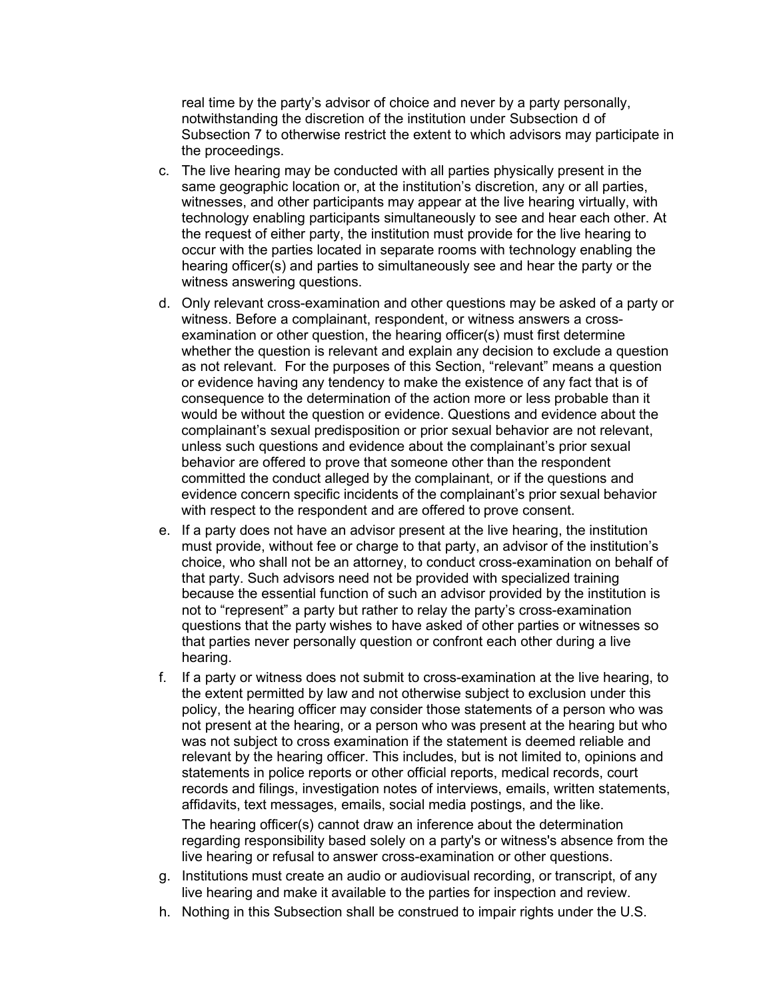real time by the party's advisor of choice and never by a party personally, notwithstanding the discretion of the institution under Subsection d of Subsection 7 to otherwise restrict the extent to which advisors may participate in the proceedings.

- c. The live hearing may be conducted with all parties physically present in the same geographic location or, at the institution's discretion, any or all parties, witnesses, and other participants may appear at the live hearing virtually, with technology enabling participants simultaneously to see and hear each other. At the request of either party, the institution must provide for the live hearing to occur with the parties located in separate rooms with technology enabling the hearing officer(s) and parties to simultaneously see and hear the party or the witness answering questions.
- d. Only relevant cross-examination and other questions may be asked of a party or witness. Before a complainant, respondent, or witness answers a crossexamination or other question, the hearing officer(s) must first determine whether the question is relevant and explain any decision to exclude a question as not relevant. For the purposes of this Section, "relevant" means a question or evidence having any tendency to make the existence of any fact that is of consequence to the determination of the action more or less probable than it would be without the question or evidence. Questions and evidence about the complainant's sexual predisposition or prior sexual behavior are not relevant, unless such questions and evidence about the complainant's prior sexual behavior are offered to prove that someone other than the respondent committed the conduct alleged by the complainant, or if the questions and evidence concern specific incidents of the complainant's prior sexual behavior with respect to the respondent and are offered to prove consent.
- e. If a party does not have an advisor present at the live hearing, the institution must provide, without fee or charge to that party, an advisor of the institution's choice, who shall not be an attorney, to conduct cross-examination on behalf of that party. Such advisors need not be provided with specialized training because the essential function of such an advisor provided by the institution is not to "represent" a party but rather to relay the party's cross-examination questions that the party wishes to have asked of other parties or witnesses so that parties never personally question or confront each other during a live hearing.
- f. If a party or witness does not submit to cross-examination at the live hearing, to the extent permitted by law and not otherwise subject to exclusion under this policy, the hearing officer may consider those statements of a person who was not present at the hearing, or a person who was present at the hearing but who was not subject to cross examination if the statement is deemed reliable and relevant by the hearing officer. This includes, but is not limited to, opinions and statements in police reports or other official reports, medical records, court records and filings, investigation notes of interviews, emails, written statements, affidavits, text messages, emails, social media postings, and the like.

The hearing officer(s) cannot draw an inference about the determination regarding responsibility based solely on a party's or witness's absence from the live hearing or refusal to answer cross-examination or other questions.

- g. Institutions must create an audio or audiovisual recording, or transcript, of any live hearing and make it available to the parties for inspection and review.
- h. Nothing in this Subsection shall be construed to impair rights under the U.S.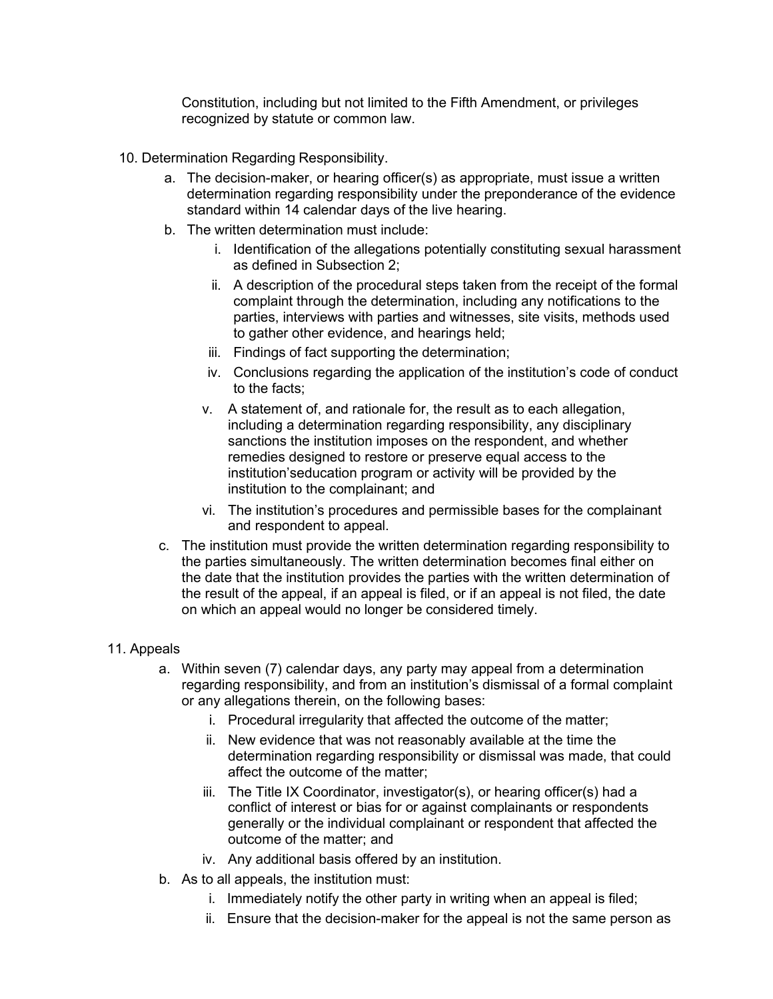Constitution, including but not limited to the Fifth Amendment, or privileges recognized by statute or common law.

- 10. Determination Regarding Responsibility.
	- a. The decision-maker, or hearing officer(s) as appropriate, must issue a written determination regarding responsibility under the preponderance of the evidence standard within 14 calendar days of the live hearing.
	- b. The written determination must include:
		- i. Identification of the allegations potentially constituting sexual harassment as defined in Subsection 2;
		- ii. A description of the procedural steps taken from the receipt of the formal complaint through the determination, including any notifications to the parties, interviews with parties and witnesses, site visits, methods used to gather other evidence, and hearings held;
		- iii. Findings of fact supporting the determination;
		- iv. Conclusions regarding the application of the institution's code of conduct to the facts;
		- v. A statement of, and rationale for, the result as to each allegation, including a determination regarding responsibility, any disciplinary sanctions the institution imposes on the respondent, and whether remedies designed to restore or preserve equal access to the institution'seducation program or activity will be provided by the institution to the complainant; and
		- vi. The institution's procedures and permissible bases for the complainant and respondent to appeal.
	- c. The institution must provide the written determination regarding responsibility to the parties simultaneously. The written determination becomes final either on the date that the institution provides the parties with the written determination of the result of the appeal, if an appeal is filed, or if an appeal is not filed, the date on which an appeal would no longer be considered timely.

### 11. Appeals

- a. Within seven (7) calendar days, any party may appeal from a determination regarding responsibility, and from an institution's dismissal of a formal complaint or any allegations therein, on the following bases:
	- i. Procedural irregularity that affected the outcome of the matter;
	- ii. New evidence that was not reasonably available at the time the determination regarding responsibility or dismissal was made, that could affect the outcome of the matter;
	- iii. The Title IX Coordinator, investigator(s), or hearing officer(s) had a conflict of interest or bias for or against complainants or respondents generally or the individual complainant or respondent that affected the outcome of the matter; and
	- iv. Any additional basis offered by an institution.
- b. As to all appeals, the institution must:
	- i. Immediately notify the other party in writing when an appeal is filed;
	- ii. Ensure that the decision-maker for the appeal is not the same person as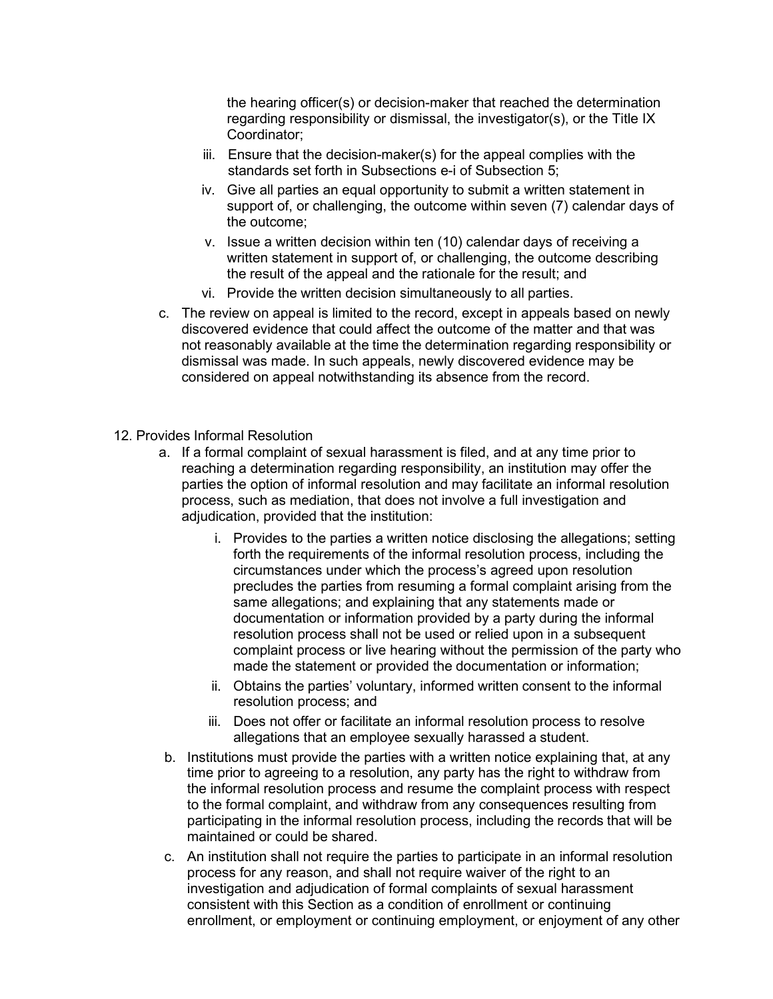the hearing officer(s) or decision-maker that reached the determination regarding responsibility or dismissal, the investigator(s), or the Title IX Coordinator;

- iii. Ensure that the decision-maker(s) for the appeal complies with the standards set forth in Subsections e-i of Subsection 5;
- iv. Give all parties an equal opportunity to submit a written statement in support of, or challenging, the outcome within seven (7) calendar days of the outcome;
- v. Issue a written decision within ten (10) calendar days of receiving a written statement in support of, or challenging, the outcome describing the result of the appeal and the rationale for the result; and
- vi. Provide the written decision simultaneously to all parties.
- c. The review on appeal is limited to the record, except in appeals based on newly discovered evidence that could affect the outcome of the matter and that was not reasonably available at the time the determination regarding responsibility or dismissal was made. In such appeals, newly discovered evidence may be considered on appeal notwithstanding its absence from the record.
- 12. Provides Informal Resolution
	- a. If a formal complaint of sexual harassment is filed, and at any time prior to reaching a determination regarding responsibility, an institution may offer the parties the option of informal resolution and may facilitate an informal resolution process, such as mediation, that does not involve a full investigation and adjudication, provided that the institution:
		- i. Provides to the parties a written notice disclosing the allegations; setting forth the requirements of the informal resolution process, including the circumstances under which the process's agreed upon resolution precludes the parties from resuming a formal complaint arising from the same allegations; and explaining that any statements made or documentation or information provided by a party during the informal resolution process shall not be used or relied upon in a subsequent complaint process or live hearing without the permission of the party who made the statement or provided the documentation or information;
		- ii. Obtains the parties' voluntary, informed written consent to the informal resolution process; and
		- iii. Does not offer or facilitate an informal resolution process to resolve allegations that an employee sexually harassed a student.
	- b. Institutions must provide the parties with a written notice explaining that, at any time prior to agreeing to a resolution, any party has the right to withdraw from the informal resolution process and resume the complaint process with respect to the formal complaint, and withdraw from any consequences resulting from participating in the informal resolution process, including the records that will be maintained or could be shared.
	- c. An institution shall not require the parties to participate in an informal resolution process for any reason, and shall not require waiver of the right to an investigation and adjudication of formal complaints of sexual harassment consistent with this Section as a condition of enrollment or continuing enrollment, or employment or continuing employment, or enjoyment of any other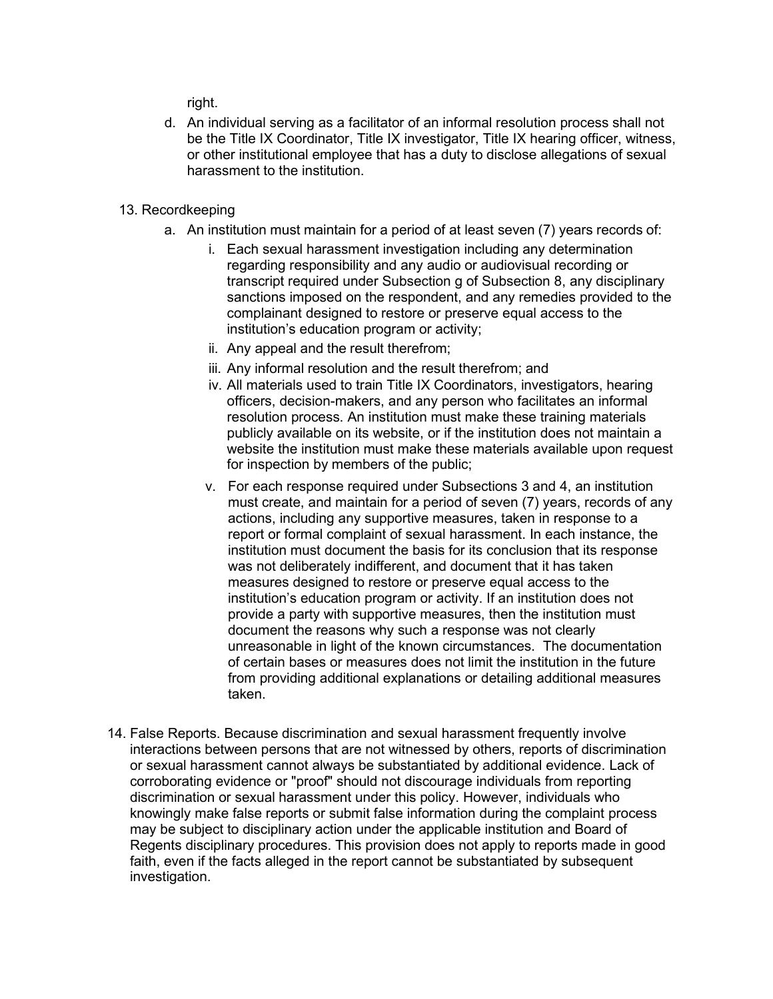right.

d. An individual serving as a facilitator of an informal resolution process shall not be the Title IX Coordinator, Title IX investigator, Title IX hearing officer, witness, or other institutional employee that has a duty to disclose allegations of sexual harassment to the institution.

### 13. Recordkeeping

- a. An institution must maintain for a period of at least seven (7) years records of:
	- i. Each sexual harassment investigation including any determination regarding responsibility and any audio or audiovisual recording or transcript required under Subsection g of Subsection 8, any disciplinary sanctions imposed on the respondent, and any remedies provided to the complainant designed to restore or preserve equal access to the institution's education program or activity;
	- ii. Any appeal and the result therefrom;
	- iii. Any informal resolution and the result therefrom; and
	- iv. All materials used to train Title IX Coordinators, investigators, hearing officers, decision-makers, and any person who facilitates an informal resolution process. An institution must make these training materials publicly available on its website, or if the institution does not maintain a website the institution must make these materials available upon request for inspection by members of the public;
	- v. For each response required under Subsections 3 and 4, an institution must create, and maintain for a period of seven (7) years, records of any actions, including any supportive measures, taken in response to a report or formal complaint of sexual harassment. In each instance, the institution must document the basis for its conclusion that its response was not deliberately indifferent, and document that it has taken measures designed to restore or preserve equal access to the institution's education program or activity. If an institution does not provide a party with supportive measures, then the institution must document the reasons why such a response was not clearly unreasonable in light of the known circumstances. The documentation of certain bases or measures does not limit the institution in the future from providing additional explanations or detailing additional measures taken.
- 14. False Reports. Because discrimination and sexual harassment frequently involve interactions between persons that are not witnessed by others, reports of discrimination or sexual harassment cannot always be substantiated by additional evidence. Lack of corroborating evidence or "proof" should not discourage individuals from reporting discrimination or sexual harassment under this policy. However, individuals who knowingly make false reports or submit false information during the complaint process may be subject to disciplinary action under the applicable institution and Board of Regents disciplinary procedures. This provision does not apply to reports made in good faith, even if the facts alleged in the report cannot be substantiated by subsequent investigation.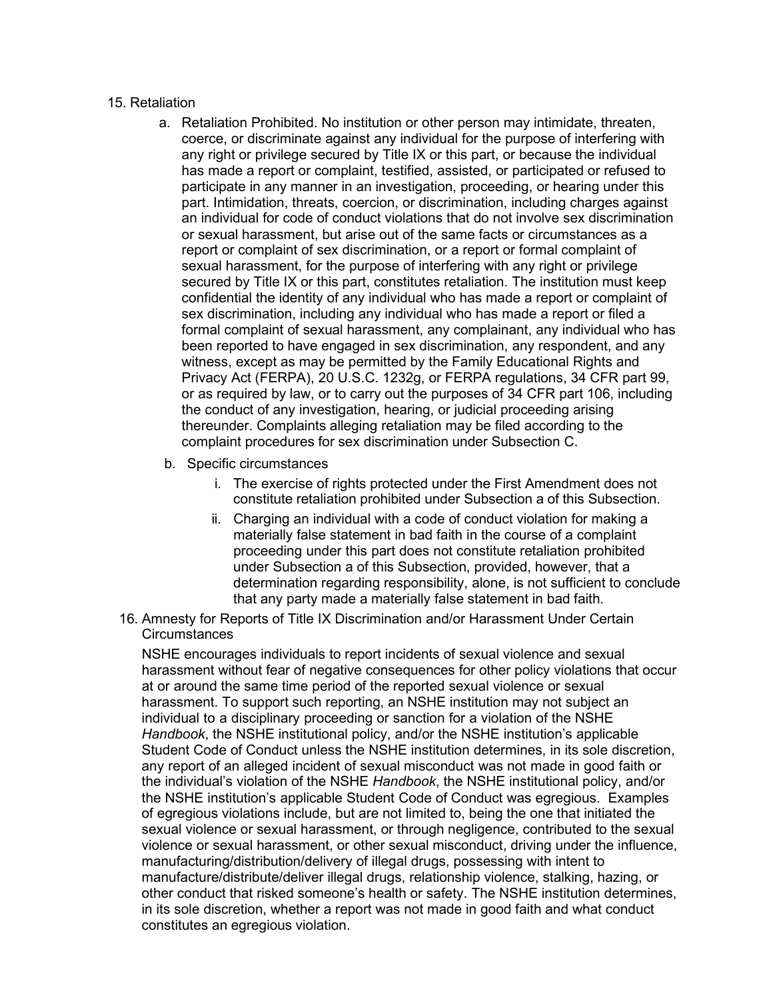### 15. Retaliation

- a. Retaliation Prohibited. No institution or other person may intimidate, threaten, coerce, or discriminate against any individual for the purpose of interfering with any right or privilege secured by Title IX or this part, or because the individual has made a report or complaint, testified, assisted, or participated or refused to participate in any manner in an investigation, proceeding, or hearing under this part. Intimidation, threats, coercion, or discrimination, including charges against an individual for code of conduct violations that do not involve sex discrimination or sexual harassment, but arise out of the same facts or circumstances as a report or complaint of sex discrimination, or a report or formal complaint of sexual harassment, for the purpose of interfering with any right or privilege secured by Title IX or this part, constitutes retaliation. The institution must keep confidential the identity of any individual who has made a report or complaint of sex discrimination, including any individual who has made a report or filed a formal complaint of sexual harassment, any complainant, any individual who has been reported to have engaged in sex discrimination, any respondent, and any witness, except as may be permitted by the Family Educational Rights and Privacy Act (FERPA), 20 U.S.C. 1232g, or FERPA regulations, 34 CFR part 99, or as required by law, or to carry out the purposes of 34 CFR part 106, including the conduct of any investigation, hearing, or judicial proceeding arising thereunder. Complaints alleging retaliation may be filed according to the complaint procedures for sex discrimination under Subsection C.
- b. Specific circumstances
	- i. The exercise of rights protected under the First Amendment does not constitute retaliation prohibited under Subsection a of this Subsection.
	- ii. Charging an individual with a code of conduct violation for making a materially false statement in bad faith in the course of a complaint proceeding under this part does not constitute retaliation prohibited under Subsection a of this Subsection, provided, however, that a determination regarding responsibility, alone, is not sufficient to conclude that any party made a materially false statement in bad faith.
- 16. Amnesty for Reports of Title IX Discrimination and/or Harassment Under Certain **Circumstances**

NSHE encourages individuals to report incidents of sexual violence and sexual harassment without fear of negative consequences for other policy violations that occur at or around the same time period of the reported sexual violence or sexual harassment. To support such reporting, an NSHE institution may not subject an individual to a disciplinary proceeding or sanction for a violation of the NSHE *Handbook*, the NSHE institutional policy, and/or the NSHE institution's applicable Student Code of Conduct unless the NSHE institution determines, in its sole discretion, any report of an alleged incident of sexual misconduct was not made in good faith or the individual's violation of the NSHE *Handbook*, the NSHE institutional policy, and/or the NSHE institution's applicable Student Code of Conduct was egregious. Examples of egregious violations include, but are not limited to, being the one that initiated the sexual violence or sexual harassment, or through negligence, contributed to the sexual violence or sexual harassment, or other sexual misconduct, driving under the influence, manufacturing/distribution/delivery of illegal drugs, possessing with intent to manufacture/distribute/deliver illegal drugs, relationship violence, stalking, hazing, or other conduct that risked someone's health or safety. The NSHE institution determines, in its sole discretion, whether a report was not made in good faith and what conduct constitutes an egregious violation.